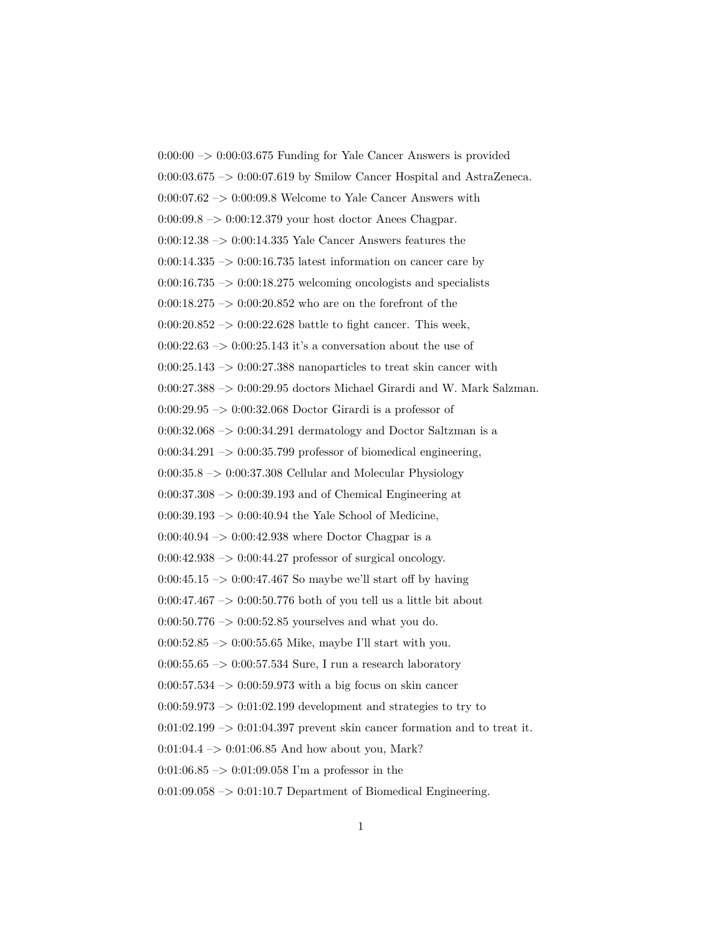$0:00:00 \rightarrow 0:00:03.675$  Funding for Yale Cancer Answers is provided 0:00:03.675 –> 0:00:07.619 by Smilow Cancer Hospital and AstraZeneca. 0:00:07.62 –> 0:00:09.8 Welcome to Yale Cancer Answers with  $0:00:09.8 \rightarrow 0:00:12.379$  your host doctor Anees Chagpar. 0:00:12.38 –> 0:00:14.335 Yale Cancer Answers features the  $0:00:14.335 \rightarrow 0:00:16.735$  latest information on cancer care by  $0:00:16.735 \rightarrow 0:00:18.275$  welcoming oncologists and specialists  $0:00:18.275 \rightarrow 0:00:20.852$  who are on the forefront of the  $0:00:20.852 \rightarrow 0:00:22.628$  battle to fight cancer. This week,  $0:00:22.63 \rightarrow 0:00:25.143$  it's a conversation about the use of  $0:00:25.143 \rightarrow 0:00:27.388$  nanoparticles to treat skin cancer with 0:00:27.388 –> 0:00:29.95 doctors Michael Girardi and W. Mark Salzman. 0:00:29.95 –> 0:00:32.068 Doctor Girardi is a professor of  $0:00:32.068 \rightarrow 0:00:34.291$  dermatology and Doctor Saltzman is a  $0:00:34.291 \rightarrow 0:00:35.799$  professor of biomedical engineering,  $0:00:35.8 \rightarrow 0:00:37.308$  Cellular and Molecular Physiology  $0:00:37.308 \rightarrow 0:00:39.193$  and of Chemical Engineering at 0:00:39.193 –> 0:00:40.94 the Yale School of Medicine,  $0:00:40.94 \rightarrow 0:00:42.938$  where Doctor Chagpar is a  $0:00:42.938 \rightarrow 0:00:44.27$  professor of surgical oncology. 0:00:45.15  $\rightarrow$  0:00:47.467 So maybe we'll start off by having  $0:00:47.467 \rightarrow 0:00:50.776$  both of you tell us a little bit about  $0:00:50.776 \rightarrow 0:00:52.85$  yourselves and what you do. 0:00:52.85  $\rightarrow$  0:00:55.65 Mike, maybe I'll start with you.  $0:00:55.65 \rightarrow 0:00:57.534$  Sure, I run a research laboratory  $0:00:57.534 \rightarrow 0:00:59.973$  with a big focus on skin cancer  $0:00:59.973 \rightarrow 0:01:02.199$  development and strategies to try to  $0:01:02.199 \rightarrow 0:01:04.397$  prevent skin cancer formation and to treat it.  $0:01:04.4 \rightarrow 0:01:06.85$  And how about you, Mark?  $0:01:06.85 \rightarrow 0:01:09.058$  I'm a professor in the  $0:01:09.058 \rightarrow 0:01:10.7$  Department of Biomedical Engineering.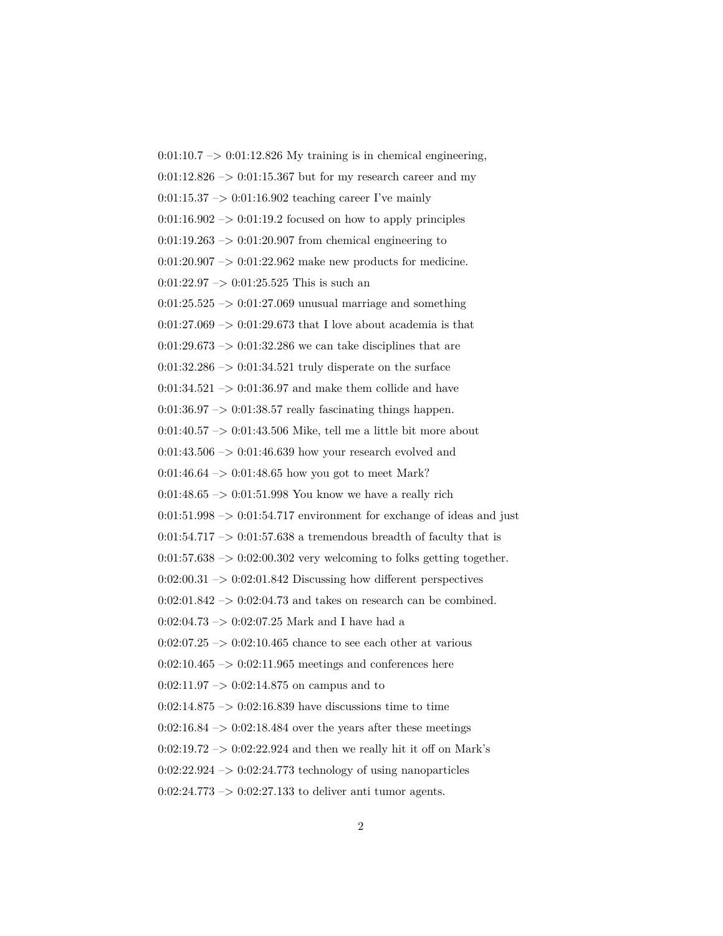$0:01:10.7 \rightarrow 0:01:12.826$  My training is in chemical engineering,  $0:01:12.826 \rightarrow 0:01:15.367$  but for my research career and my  $0:01:15.37 \rightarrow 0:01:16.902$  teaching career I've mainly  $0:01:16.902 \rightarrow 0:01:19.2$  focused on how to apply principles  $0:01:19.263 \rightarrow 0:01:20.907$  from chemical engineering to  $0:01:20.907 \rightarrow 0:01:22.962$  make new products for medicine.  $0:01:22.97 \rightarrow 0:01:25.525$  This is such an  $0:01:25.525 \rightarrow 0:01:27.069$  unusual marriage and something  $0:01:27.069 \rightarrow 0:01:29.673$  that I love about academia is that  $0:01:29.673 \rightarrow 0:01:32.286$  we can take disciplines that are  $0:01:32.286 \rightarrow 0:01:34.521$  truly disperate on the surface  $0:01:34.521 \rightarrow 0:01:36.97$  and make them collide and have  $0:01:36.97 \rightarrow 0:01:38.57$  really fascinating things happen. 0:01:40.57 –> 0:01:43.506 Mike, tell me a little bit more about  $0:01:43.506 \rightarrow 0:01:46.639$  how your research evolved and  $0:01:46.64 \rightarrow 0:01:48.65$  how you got to meet Mark? 0:01:48.65  $\rightarrow$  0:01:51.998 You know we have a really rich  $0:01:51.998 \rightarrow 0:01:54.717$  environment for exchange of ideas and just  $0:01:54.717 \rightarrow 0:01:57.638$  a tremendous breadth of faculty that is  $0:01:57.638 \rightarrow 0:02:00.302$  very welcoming to folks getting together.  $0:02:00.31 \rightarrow 0:02:01.842$  Discussing how different perspectives  $0:02:01.842 \rightarrow 0:02:04.73$  and takes on research can be combined. 0:02:04.73 –> 0:02:07.25 Mark and I have had a  $0:02:07.25 \rightarrow 0:02:10.465$  chance to see each other at various  $0:02:10.465 \rightarrow 0:02:11.965$  meetings and conferences here  $0:02:11.97 \rightarrow 0:02:14.875$  on campus and to  $0:02:14.875 \rightarrow 0:02:16.839$  have discussions time to time  $0:02:16.84 \rightarrow 0:02:18.484$  over the years after these meetings  $0:02:19.72 \rightarrow 0:02:22.924$  and then we really hit it off on Mark's  $0:02:22.924 \rightarrow 0:02:24.773$  technology of using nanoparticles  $0:02:24.773 \rightarrow 0:02:27.133$  to deliver anti-tumor agents.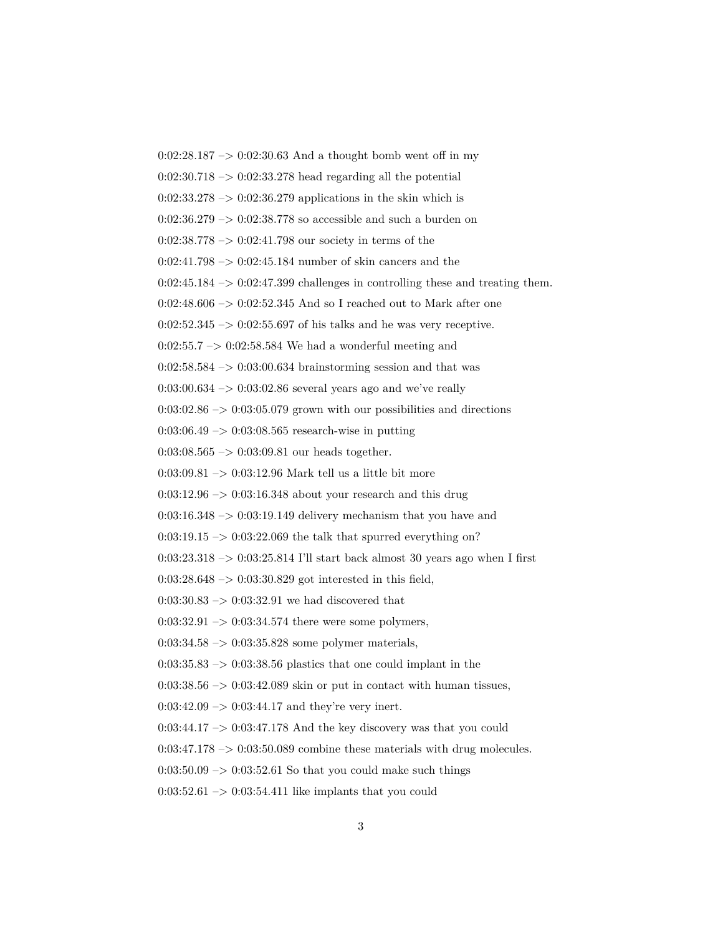$0:02:28.187 \rightarrow 0:02:30.63$  And a thought bomb went off in my  $0:02:30.718 \rightarrow 0:02:33.278$  head regarding all the potential  $0:02:33.278 \rightarrow 0:02:36.279$  applications in the skin which is  $0:02:36.279 \rightarrow 0:02:38.778$  so accessible and such a burden on 0:02:38.778 –> 0:02:41.798 our society in terms of the  $0:02:41.798 \rightarrow 0:02:45.184$  number of skin cancers and the  $0:02:45.184 \rightarrow 0:02:47.399$  challenges in controlling these and treating them.  $0:02:48.606 \rightarrow 0:02:52.345$  And so I reached out to Mark after one  $0:02:52.345 \rightarrow 0:02:55.697$  of his talks and he was very receptive.  $0:02:55.7 \rightarrow 0:02:58.584$  We had a wonderful meeting and  $0:02:58.584 \rightarrow 0:03:00.634$  brainstorming session and that was  $0:03:00.634 \rightarrow 0:03:02.86$  several years ago and we've really  $0:03:02.86 \rightarrow 0:03:05.079$  grown with our possibilities and directions  $0:03:06.49 \rightarrow 0:03:08.565$  research-wise in putting  $0:03:08.565 \rightarrow 0:03:09.81$  our heads together. 0:03:09.81  $\rightarrow$  0:03:12.96 Mark tell us a little bit more  $0:03:12.96 \rightarrow 0:03:16.348$  about your research and this drug  $0:03:16.348 \rightarrow 0:03:19.149$  delivery mechanism that you have and  $0:03:19.15 \rightarrow 0:03:22.069$  the talk that spurred everything on? 0:03:23.318  $\rightarrow$  0:03:25.814 I'll start back almost 30 years ago when I first 0:03:28.648 –> 0:03:30.829 got interested in this field, 0:03:30.83  $\rightarrow$  0:03:32.91 we had discovered that  $0:03:32.91 \rightarrow 0:03:34.574$  there were some polymers,  $0:03:34.58 \rightarrow 0:03:35.828$  some polymer materials,  $0:03:35.83 \rightarrow 0:03:38.56$  plastics that one could implant in the 0:03:38.56  $\rightarrow$  0:03:42.089 skin or put in contact with human tissues,  $0:03:42.09 \rightarrow 0:03:44.17$  and they're very inert.  $0:03:44.17 \rightarrow 0:03:47.178$  And the key discovery was that you could  $0:03:47.178 \rightarrow 0:03:50.089$  combine these materials with drug molecules.  $0.03:50.09 \rightarrow 0.03:52.61$  So that you could make such things  $0:03:52.61 \rightarrow 0:03:54.411$  like implants that you could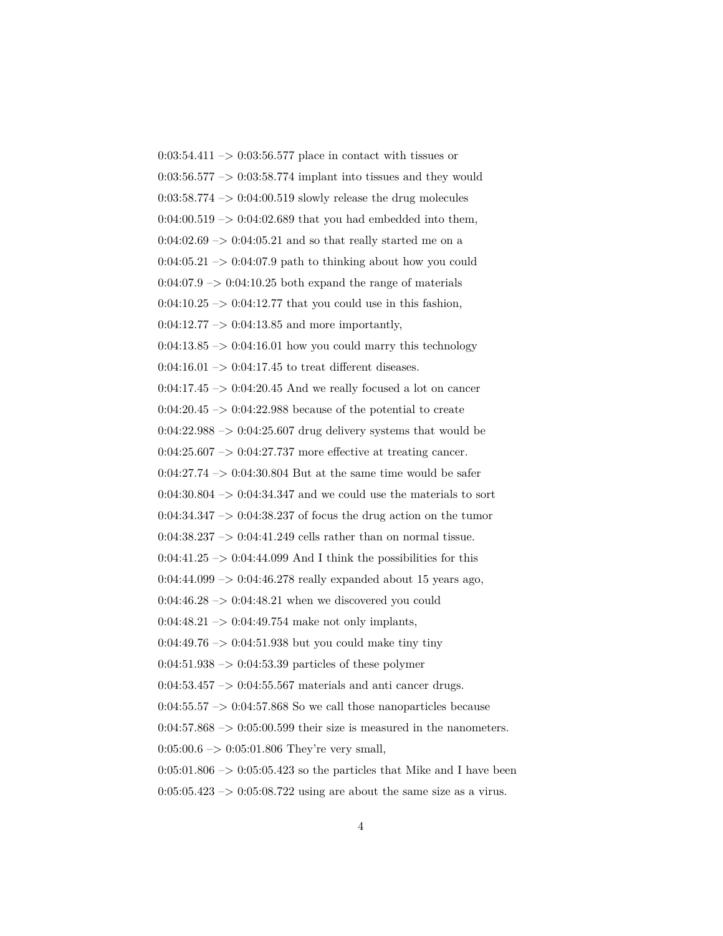$0:03:54.411 \rightarrow 0:03:56.577$  place in contact with tissues or  $0:03:56.577 \rightarrow 0:03:58.774$  implant into tissues and they would  $0:03:58.774 \rightarrow 0:04:00.519$  slowly release the drug molecules  $0:04:00.519 \rightarrow 0:04:02.689$  that you had embedded into them,  $0:04:02.69 \rightarrow 0:04:05.21$  and so that really started me on a  $0:04:05.21 \rightarrow 0:04:07.9$  path to thinking about how you could  $0.04:07.9 \rightarrow 0.04:10.25$  both expand the range of materials  $0:04:10.25 \rightarrow 0:04:12.77$  that you could use in this fashion,  $0:04:12.77 \rightarrow 0:04:13.85$  and more importantly,  $0:04:13.85 \rightarrow 0:04:16.01$  how you could marry this technology  $0:04:16.01 \rightarrow 0:04:17.45$  to treat different diseases.  $0:04:17.45 \rightarrow 0:04:20.45$  And we really focused a lot on cancer  $0:04:20.45 \rightarrow 0:04:22.988$  because of the potential to create  $0.04:22.988 \rightarrow 0.04:25.607$  drug delivery systems that would be  $0:04:25.607 \rightarrow 0:04:27.737$  more effective at treating cancer. 0:04:27.74  $\rightarrow$  0:04:30.804 But at the same time would be safer  $0:04:30.804 \rightarrow 0:04:34.347$  and we could use the materials to sort  $0:04:34.347 \rightarrow 0:04:38.237$  of focus the drug action on the tumor  $0:04:38.237 \rightarrow 0:04:41.249$  cells rather than on normal tissue.  $0:04:41.25 \rightarrow 0:04:44.099$  And I think the possibilities for this  $0:04:44.099 \rightarrow 0:04:46.278$  really expanded about 15 years ago,  $0:04:46.28 \rightarrow 0:04:48.21$  when we discovered you could  $0:04:48.21 \rightarrow 0:04:49.754$  make not only implants,  $0:04:49.76 \rightarrow 0:04:51.938$  but you could make tiny tiny  $0:04:51.938 \rightarrow 0:04:53.39$  particles of these polymer  $0:04:53.457 \rightarrow 0:04:55.567$  materials and anti-cancer drugs.  $0.04:55.57 \rightarrow 0.04:57.868$  So we call those nanoparticles because  $0:04:57.868 \rightarrow 0:05:00.599$  their size is measured in the nanometers.  $0:05:00.6 \rightarrow 0:05:01.806$  They're very small,  $0:05:01.806 \rightarrow 0:05:05.423$  so the particles that Mike and I have been  $0:05:05.423 \rightarrow 0:05:08.722$  using are about the same size as a virus.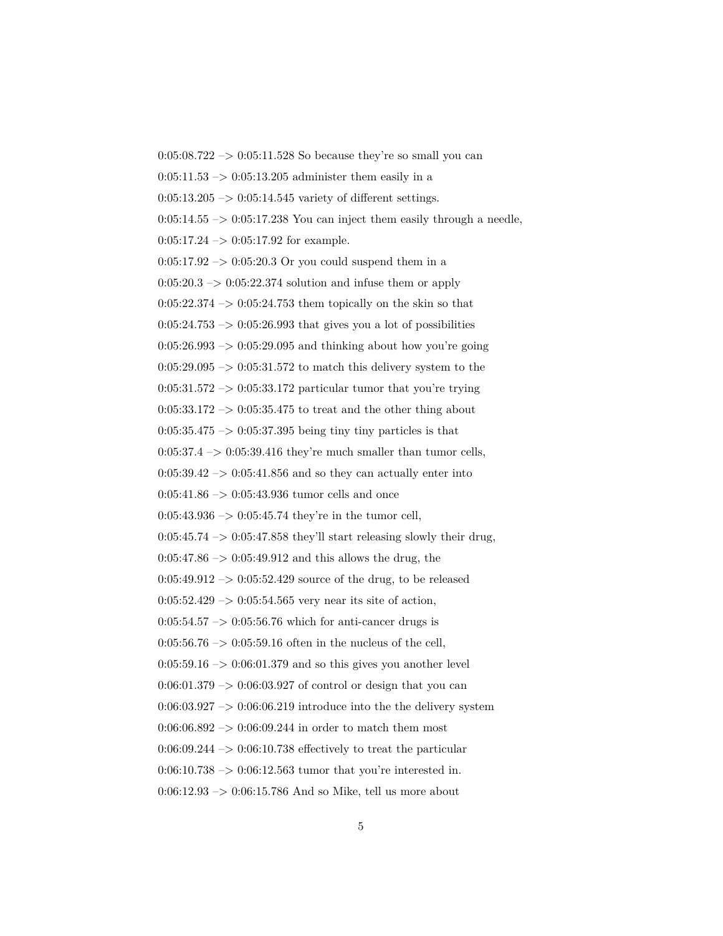$0:05:08.722 \rightarrow 0:05:11.528$  So because they're so small you can  $0:05:11.53 \rightarrow 0:05:13.205$  administer them easily in a  $0:05:13.205 \rightarrow 0:05:14.545$  variety of different settings.  $0:05:14.55 \rightarrow 0:05:17.238$  You can inject them easily through a needle,  $0:05:17.24 \rightarrow 0:05:17.92$  for example.  $0:05:17.92 \rightarrow 0:05:20.3$  Or you could suspend them in a  $0:05:20.3 \rightarrow 0:05:22.374$  solution and infuse them or apply  $0:05:22.374 \rightarrow 0:05:24.753$  them topically on the skin so that  $0:05:24.753 \rightarrow 0:05:26.993$  that gives you a lot of possibilities  $0:05:26.993 \rightarrow 0:05:29.095$  and thinking about how you're going  $0:05:29.095 \rightarrow 0:05:31.572$  to match this delivery system to the  $0:05:31.572 \rightarrow 0:05:33.172$  particular tumor that you're trying  $0:05:33.172 \rightarrow 0:05:35.475$  to treat and the other thing about  $0:05:35.475 \rightarrow 0:05:37.395$  being tiny tiny particles is that  $0:05:37.4 \rightarrow 0:05:39.416$  they're much smaller than tumor cells,  $0:05:39.42 \rightarrow 0:05:41.856$  and so they can actually enter into  $0:05:41.86 \rightarrow 0:05:43.936$  tumor cells and once  $0:05:43.936 \rightarrow 0:05:45.74$  they're in the tumor cell,  $0:05:45.74 \rightarrow 0:05:47.858$  they'll start releasing slowly their drug,  $0:05:47.86 \rightarrow 0:05:49.912$  and this allows the drug, the  $0:05:49.912 \rightarrow 0:05:52.429$  source of the drug, to be released  $0:05:52.429 \rightarrow 0:05:54.565$  very near its site of action,  $0:05:54.57 \rightarrow 0:05:56.76$  which for anti-cancer drugs is  $0:05:56.76 \rightarrow 0:05:59.16$  often in the nucleus of the cell,  $0:05:59.16 \rightarrow 0:06:01.379$  and so this gives you another level  $0:06:01.379 \rightarrow 0:06:03.927$  of control or design that you can  $0:06:03.927 \rightarrow 0:06:06.219$  introduce into the the delivery system  $0:06:06.892 \rightarrow 0:06:09.244$  in order to match them most  $0.06:09.244 \rightarrow 0.06:10.738$  effectively to treat the particular  $0:06:10.738 \rightarrow 0:06:12.563$  tumor that you're interested in.  $0:06:12.93 \rightarrow 0:06:15.786$  And so Mike, tell us more about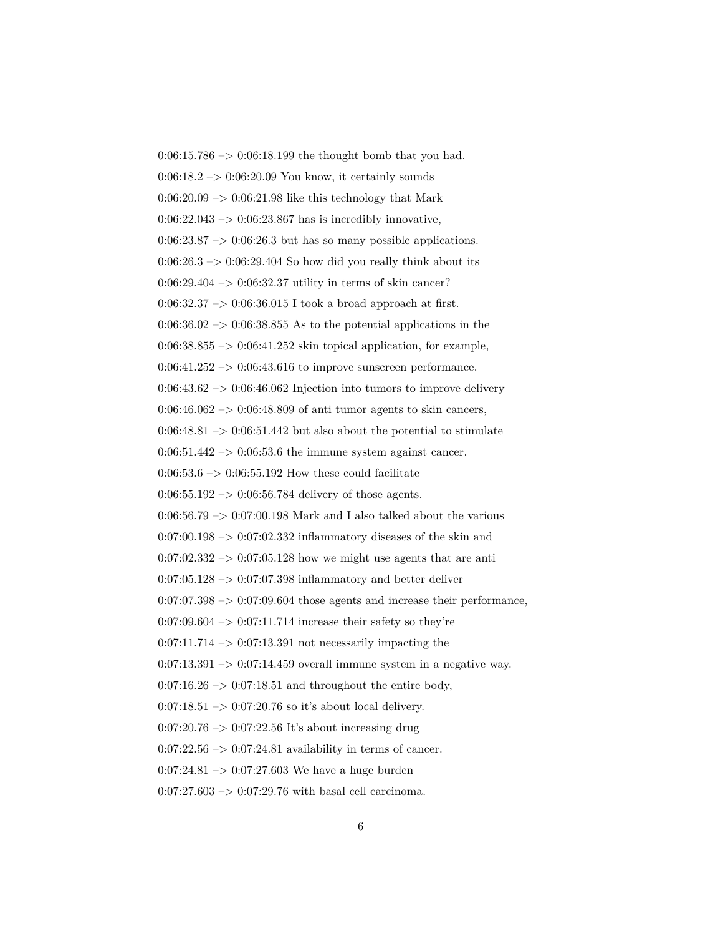$0:06:15.786 \rightarrow 0:06:18.199$  the thought bomb that you had.  $0:06:18.2 \rightarrow 0:06:20.09$  You know, it certainly sounds  $0.06:20.09 \rightarrow 0.06:21.98$  like this technology that Mark  $0:06:22.043 \rightarrow 0:06:23.867$  has is incredibly innovative,  $0:06:23.87 \rightarrow 0:06:26.3$  but has so many possible applications.  $0:06:26.3 \rightarrow 0:06:29.404$  So how did you really think about its 0:06:29.404 –> 0:06:32.37 utility in terms of skin cancer? 0:06:32.37 –> 0:06:36.015 I took a broad approach at first.  $0.06:36.02 \rightarrow 0.06:38.855$  As to the potential applications in the  $0.06:38.855 \rightarrow 0.06:41.252$  skin topical application, for example,  $0:06:41.252 \rightarrow 0:06:43.616$  to improve sunscreen performance.  $0:06:43.62 \rightarrow 0:06:46.062$  Injection into tumors to improve delivery  $0:06:46.062 \rightarrow 0:06:48.809$  of anti tumor agents to skin cancers,  $0:06:48.81 \rightarrow 0:06:51.442$  but also about the potential to stimulate  $0:06:51.442 \rightarrow 0:06:53.6$  the immune system against cancer. 0:06:53.6  $\rightarrow$  0:06:55.192 How these could facilitate  $0:06:55.192 \rightarrow 0:06:56.784$  delivery of those agents.  $0:06:56.79 \rightarrow 0:07:00.198$  Mark and I also talked about the various  $0:07:00.198 \rightarrow 0:07:02.332$  inflammatory diseases of the skin and  $0:07:02.332 \rightarrow 0:07:05.128$  how we might use agents that are anti  $0:07:05.128 \rightarrow 0:07:07.398$  inflammatory and better deliver  $0.07:07.398 \rightarrow 0.07:09.604$  those agents and increase their performance,  $0:07:09.604 \rightarrow 0:07:11.714$  increase their safety so they're  $0:07:11.714 \rightarrow 0:07:13.391$  not necessarily impacting the  $0.07:13.391 \rightarrow 0.07:14.459$  overall immune system in a negative way.  $0:07:16.26 \rightarrow 0:07:18.51$  and throughout the entire body,  $0:07:18.51 \rightarrow 0:07:20.76$  so it's about local delivery. 0:07:20.76 –> 0:07:22.56 It's about increasing drug  $0:07:22.56 \rightarrow 0:07:24.81$  availability in terms of cancer.  $0:07:24.81 \rightarrow 0:07:27.603$  We have a huge burden  $0:07:27.603 \rightarrow 0:07:29.76$  with basal cell carcinoma.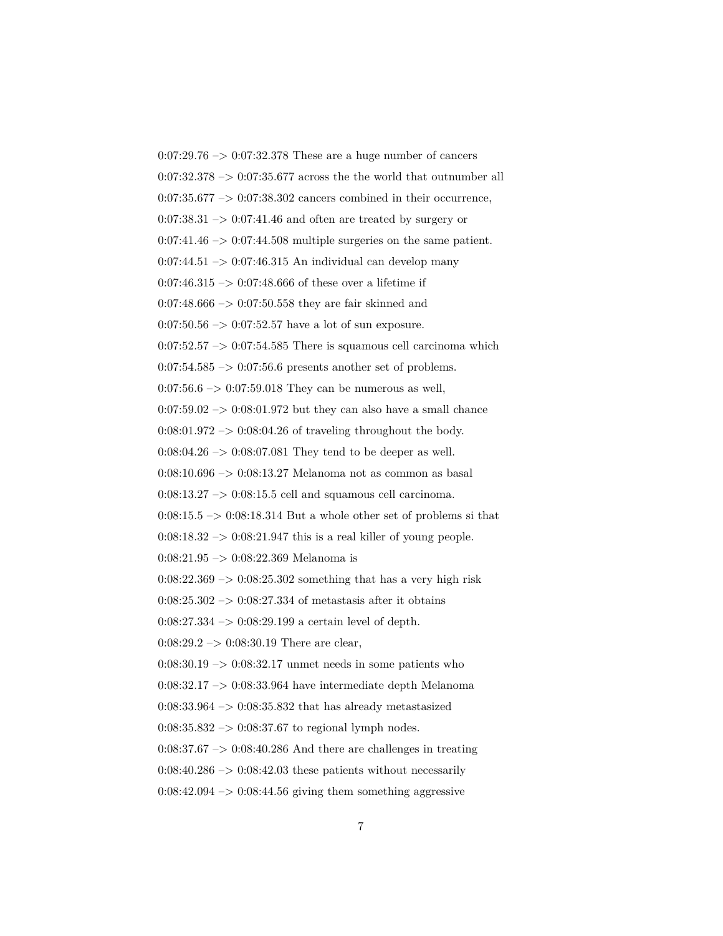0:07:29.76 –> 0:07:32.378 These are a huge number of cancers  $0:07:32.378 \rightarrow 0:07:35.677$  across the the world that outnumber all  $0:07:35.677 \rightarrow 0:07:38.302$  cancers combined in their occurrence,  $0:07:38.31 \rightarrow 0:07:41.46$  and often are treated by surgery or  $0:07:41.46 \rightarrow 0:07:44.508$  multiple surgeries on the same patient.  $0:07:44.51 \rightarrow 0:07:46.315$  An individual can develop many 0:07:46.315  $\rightarrow$  0:07:48.666 of these over a lifetime if  $0.07:48.666 \rightarrow 0.07:50.558$  they are fair skinned and  $0:07:50.56 \rightarrow 0:07:52.57$  have a lot of sun exposure.  $0:07:52.57 \rightarrow 0:07:54.585$  There is squamous cell carcinoma which  $0:07:54.585 \rightarrow 0:07:56.6$  presents another set of problems.  $0:07:56.6 \rightarrow 0:07:59.018$  They can be numerous as well,  $0:07:59.02 \rightarrow 0:08:01.972$  but they can also have a small chance  $0:08:01.972 \rightarrow 0:08:04.26$  of traveling throughout the body.  $0:08:04.26 \rightarrow 0:08:07.081$  They tend to be deeper as well. 0:08:10.696  $\rightarrow$  0:08:13.27 Melanoma not as common as basal  $0:08:13.27 \rightarrow 0:08:15.5$  cell and squamous cell carcinoma.  $0:08:15.5 \rightarrow 0:08:18.314$  But a whole other set of problems si that  $0:08:18.32 \rightarrow 0:08:21.947$  this is a real killer of young people. 0:08:21.95 –> 0:08:22.369 Melanoma is  $0:08:22.369 \rightarrow 0:08:25.302$  something that has a very high risk  $0:08:25.302 \rightarrow 0:08:27.334$  of metastasis after it obtains  $0:08:27.334 \rightarrow 0:08:29.199$  a certain level of depth.  $0:08:29.2 \rightarrow 0:08:30.19$  There are clear,  $0:08:30.19 \rightarrow 0:08:32.17$  unmet needs in some patients who 0:08:32.17 –> 0:08:33.964 have intermediate depth Melanoma 0:08:33.964 –> 0:08:35.832 that has already metastasized  $0:08:35.832 \rightarrow 0:08:37.67$  to regional lymph nodes.  $0.08:37.67 \rightarrow 0.08:40.286$  And there are challenges in treating  $0.08:40.286 \rightarrow 0.08:42.03$  these patients without necessarily  $0:08:42.094 \rightarrow 0:08:44.56$  giving them something aggressive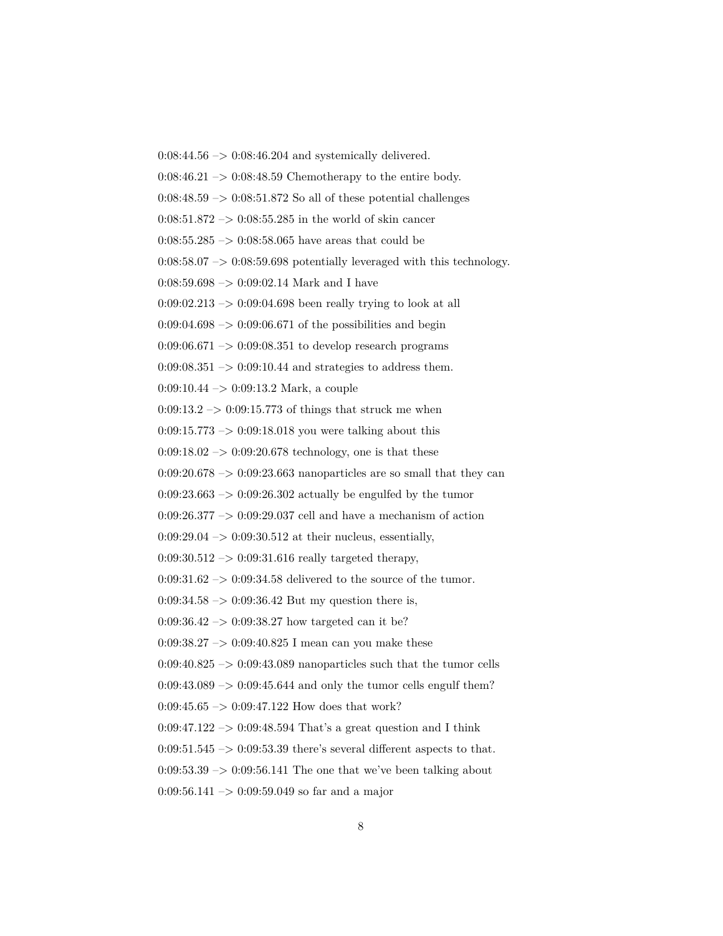$0:08:44.56 \rightarrow 0:08:46.204$  and systemically delivered.  $0:08:46.21 \rightarrow 0:08:48.59$  Chemotherapy to the entire body.  $0.08:48.59 \rightarrow 0.08:51.872$  So all of these potential challenges  $0.08:51.872 \rightarrow 0.08:55.285$  in the world of skin cancer  $0:08:55.285 \rightarrow 0:08:58.065$  have areas that could be  $0:08:58.07 \rightarrow 0:08:59.698$  potentially leveraged with this technology.  $0:08:59.698 \rightarrow 0:09:02.14$  Mark and I have  $0.09:02.213 \rightarrow 0.09:04.698$  been really trying to look at all  $0:09:04.698 \rightarrow 0:09:06.671$  of the possibilities and begin  $0.09:06.671 \rightarrow 0.09:08.351$  to develop research programs  $0.09:08.351 \rightarrow 0.09:10.44$  and strategies to address them. 0:09:10.44 –> 0:09:13.2 Mark, a couple  $0:09:13.2 \rightarrow 0:09:15.773$  of things that struck me when  $0:09:15.773 \rightarrow 0:09:18.018$  you were talking about this  $0:09:18.02 \rightarrow 0:09:20.678$  technology, one is that these  $0:09:20.678 \rightarrow 0:09:23.663$  nanoparticles are so small that they can  $0:09:23.663 \rightarrow 0:09:26.302$  actually be engulfed by the tumor  $0:09:26.377 \rightarrow 0:09:29.037$  cell and have a mechanism of action  $0.09:29.04 \rightarrow 0.09:30.512$  at their nucleus, essentially,  $0.09:30.512 \rightarrow 0.09:31.616$  really targeted therapy, 0:09:31.62  $\rightarrow$  0:09:34.58 delivered to the source of the tumor.  $0.09:34.58 \rightarrow 0.09:36.42$  But my question there is,  $0:09:36.42 \rightarrow 0:09:38.27$  how targeted can it be?  $0.09:38.27 \rightarrow 0.09:40.825$  I mean can you make these  $0.09:40.825 \rightarrow 0.09:43.089$  nanoparticles such that the tumor cells  $0:09:43.089 \rightarrow 0:09:45.644$  and only the tumor cells engulf them?  $0:09:45.65 \rightarrow 0:09:47.122$  How does that work?  $0:09:47.122 \rightarrow 0:09:48.594$  That's a great question and I think  $0:09:51.545 \rightarrow 0:09:53.39$  there's several different aspects to that.  $0.09:53.39 \rightarrow 0.09:56.141$  The one that we've been talking about  $0:09:56.141 \rightarrow 0:09:59.049$  so far and a major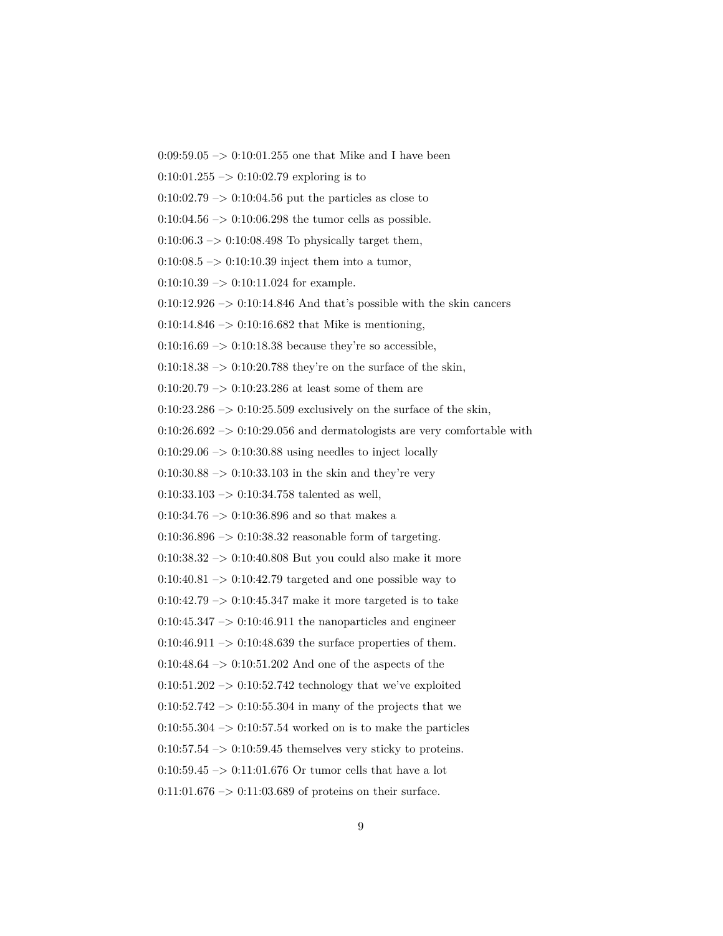$0:09:59.05 \rightarrow 0:10:01.255$  one that Mike and I have been

 $0:10:01.255 \rightarrow 0:10:02.79$  exploring is to

 $0:10:02.79 \rightarrow 0:10:04.56$  put the particles as close to

 $0:10:04.56 \rightarrow 0:10:06.298$  the tumor cells as possible.

 $0:10:06.3 \rightarrow 0:10:08.498$  To physically target them,

 $0:10:08.5 \rightarrow 0:10:10.39$  inject them into a tumor,

 $0:10:10.39 \rightarrow 0:10:11.024$  for example.

 $0:10:12.926 \rightarrow 0:10:14.846$  And that's possible with the skin cancers

 $0:10:14.846 \rightarrow 0:10:16.682$  that Mike is mentioning,

 $0:10:16.69 \rightarrow 0:10:18.38$  because they're so accessible,

 $0:10:18.38 \rightarrow 0:10:20.788$  they're on the surface of the skin,

 $0:10:20.79 \rightarrow 0:10:23.286$  at least some of them are

 $0:10:23.286 \rightarrow 0:10:25.509$  exclusively on the surface of the skin,

 $0:10:26.692 \rightarrow 0:10:29.056$  and dermatologists are very comfortable with

 $0:10:29.06 \rightarrow 0:10:30.88$  using needles to inject locally

 $0:10:30.88 \rightarrow 0:10:33.103$  in the skin and they're very

 $0:10:33.103 \rightarrow 0:10:34.758$  talented as well,

0:10:34.76  $\rightarrow$  0:10:36.896 and so that makes a

 $0:10:36.896 \rightarrow 0:10:38.32$  reasonable form of targeting.

0:10:38.32 –> 0:10:40.808 But you could also make it more

 $0:10:40.81 \rightarrow 0:10:42.79$  targeted and one possible way to

 $0:10:42.79 \rightarrow 0:10:45.347$  make it more targeted is to take

 $0:10:45.347 \rightarrow 0:10:46.911$  the nanoparticles and engineer

 $0:10:46.911 \rightarrow 0:10:48.639$  the surface properties of them.

 $0:10:48.64 \rightarrow 0:10:51.202$  And one of the aspects of the

 $0:10:51.202 \rightarrow 0:10:52.742$  technology that we've exploited

 $0:10:52.742 \rightarrow 0:10:55.304$  in many of the projects that we

 $0:10:55.304 \rightarrow 0:10:57.54$  worked on is to make the particles

 $0:10:57.54 \rightarrow 0:10:59.45$  themselves very sticky to proteins.

0:10:59.45  $\rightarrow$  0:11:01.676 Or tumor cells that have a lot

 $0:11:01.676 \rightarrow 0:11:03.689$  of proteins on their surface.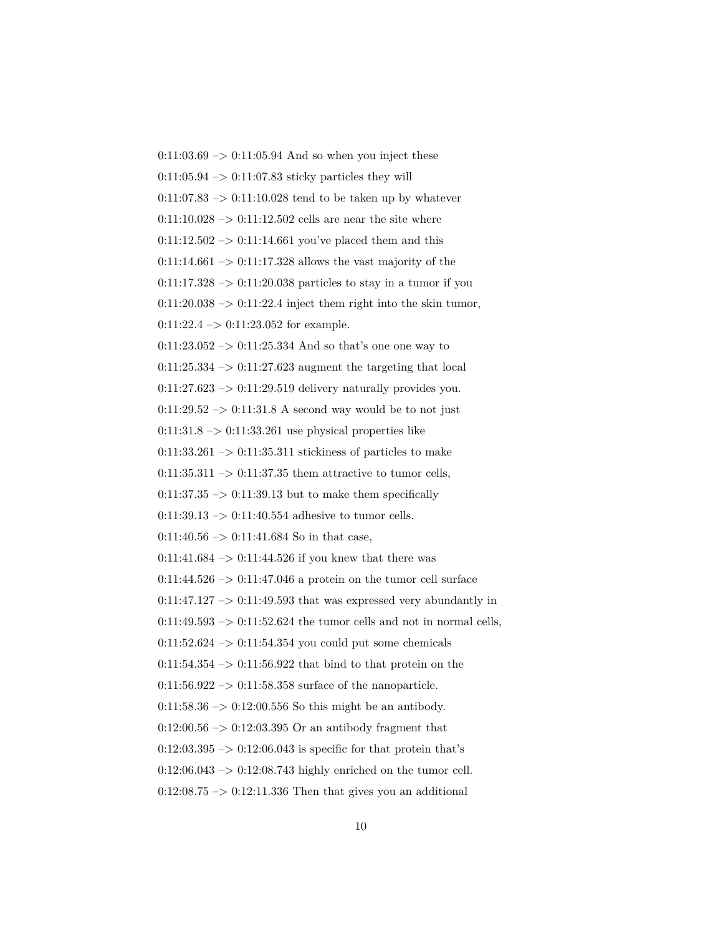$0:11:03.69 \rightarrow 0:11:05.94$  And so when you inject these  $0:11:05.94 \rightarrow 0:11:07.83$  sticky particles they will  $0:11:07.83 \rightarrow 0:11:10.028$  tend to be taken up by whatever  $0:11:10.028 \rightarrow 0:11:12.502$  cells are near the site where  $0:11:12.502 \rightarrow 0:11:14.661$  you've placed them and this  $0:11:14.661 \rightarrow 0:11:17.328$  allows the vast majority of the  $0:11:17.328 \rightarrow 0:11:20.038$  particles to stay in a tumor if you  $0:11:20.038 \rightarrow 0:11:22.4$  inject them right into the skin tumor, 0:11:22.4 –> 0:11:23.052 for example.  $0:11:23.052 \rightarrow 0:11:25.334$  And so that's one one way to  $0:11:25.334 \rightarrow 0:11:27.623$  augment the targeting that local  $0:11:27.623 \rightarrow 0:11:29.519$  delivery naturally provides you.  $0:11:29.52 \rightarrow 0:11:31.8$  A second way would be to not just  $0:11:31.8 \rightarrow 0:11:33.261$  use physical properties like  $0:11:33.261 \rightarrow 0:11:35.311$  stickiness of particles to make  $0:11:35.311 \rightarrow 0:11:37.35$  them attractive to tumor cells,  $0:11:37.35 \rightarrow 0:11:39.13$  but to make them specifically  $0:11:39.13 \rightarrow 0:11:40.554$  adhesive to tumor cells.  $0:11:40.56 \rightarrow 0:11:41.684$  So in that case, 0:11:41.684  $\rightarrow$  0:11:44.526 if you knew that there was  $0:11:44.526 \rightarrow 0:11:47.046$  a protein on the tumor cell surface  $0:11:47.127 \rightarrow 0:11:49.593$  that was expressed very abundantly in  $0:11:49.593 \rightarrow 0:11:52.624$  the tumor cells and not in normal cells,  $0:11:52.624 \rightarrow 0:11:54.354$  you could put some chemicals  $0:11:54.354 \rightarrow 0:11:56.922$  that bind to that protein on the  $0:11:56.922 \rightarrow 0:11:58.358$  surface of the nanoparticle.  $0:11:58.36 \rightarrow 0:12:00.556$  So this might be an antibody.  $0:12:00.56 \rightarrow 0:12:03.395$  Or an antibody fragment that  $0.12:03.395 \rightarrow 0.12:06.043$  is specific for that protein that's  $0:12:06.043 \rightarrow 0:12:08.743$  highly enriched on the tumor cell.  $0:12:08.75 \rightarrow 0:12:11.336$  Then that gives you an additional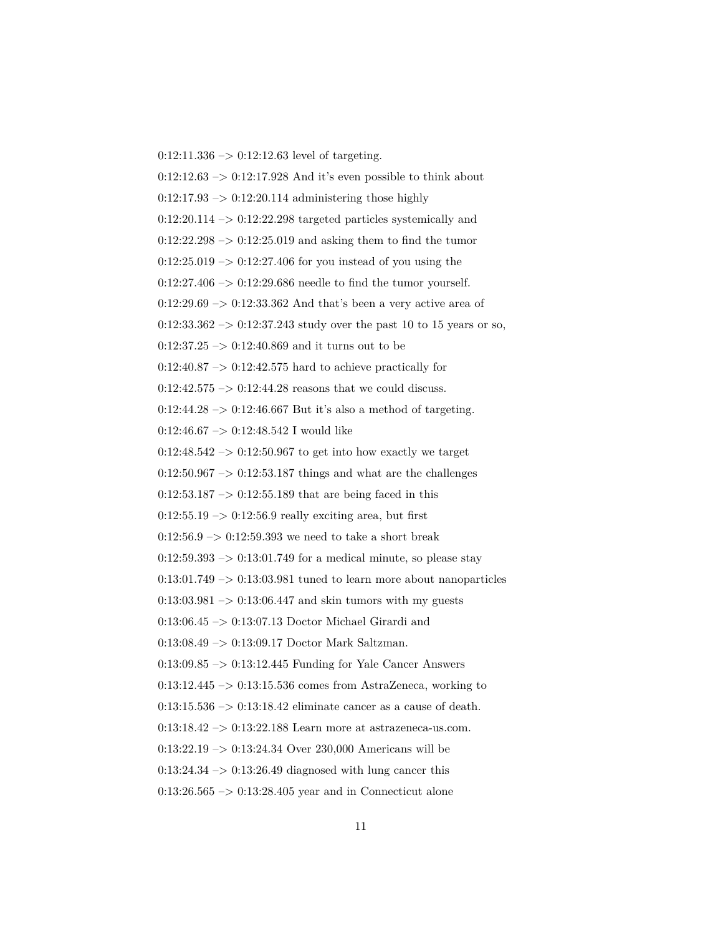$0:12:11.336 \rightarrow 0:12:12.63$  level of targeting.  $0:12:12.63 \rightarrow 0:12:17.928$  And it's even possible to think about  $0:12:17.93 \rightarrow 0:12:20.114$  administering those highly  $0:12:20.114 \rightarrow 0:12:22.298$  targeted particles systemically and  $0:12:22.298 \rightarrow 0:12:25.019$  and asking them to find the tumor  $0:12:25.019 \rightarrow 0:12:27.406$  for you instead of you using the  $0:12:27.406 \rightarrow 0:12:29.686$  needle to find the tumor yourself.  $0:12:29.69 \rightarrow 0:12:33.362$  And that's been a very active area of  $0:12:33.362 \rightarrow 0:12:37.243$  study over the past 10 to 15 years or so,  $0:12:37.25 \rightarrow 0:12:40.869$  and it turns out to be  $0.12:40.87 \rightarrow 0.12:42.575$  hard to achieve practically for  $0:12:42.575 \ensuremath{\rightarrow} 0:12:44.28$  reasons that we could discuss. 0:12:44.28 –> 0:12:46.667 But it's also a method of targeting.  $0:12:46.67 \rightarrow 0:12:48.542$  I would like  $0:12:48.542 \rightarrow 0:12:50.967$  to get into how exactly we target  $0:12:50.967 \rightarrow 0:12:53.187$  things and what are the challenges  $0:12:53.187 \rightarrow 0:12:55.189$  that are being faced in this  $0:12:55.19 \rightarrow 0:12:56.9$  really exciting area, but first  $0:12:56.9 \rightarrow 0:12:59.393$  we need to take a short break  $0:12:59.393 \rightarrow 0:13:01.749$  for a medical minute, so please stay  $0:13:01.749 \rightarrow 0:13:03.981$  tuned to learn more about nanoparticles  $0.13:03.981 \rightarrow 0.13:06.447$  and skin tumors with my guests  $0.13{\cdot}06.45$   $->$   $0{\cdot}13{\cdot}07.13$  Doctor Michael Girardi and 0:13:08.49 –> 0:13:09.17 Doctor Mark Saltzman. 0:13:09.85 –> 0:13:12.445 Funding for Yale Cancer Answers  $0:13:12.445 \rightarrow 0:13:15.536$  comes from AstraZeneca, working to  $0:13:15.536 \rightarrow 0:13:18.42$  eliminate cancer as a cause of death.  $0:13:18.42 \rightarrow 0:13:22.188$  Learn more at astrazeneca-us.com. 0:13:22.19 –> 0:13:24.34 Over 230,000 Americans will be  $0:13:24.34 \rightarrow 0:13:26.49$  diagnosed with lung cancer this  $0:13:26.565 \rightarrow 0:13:28.405$  year and in Connecticut alone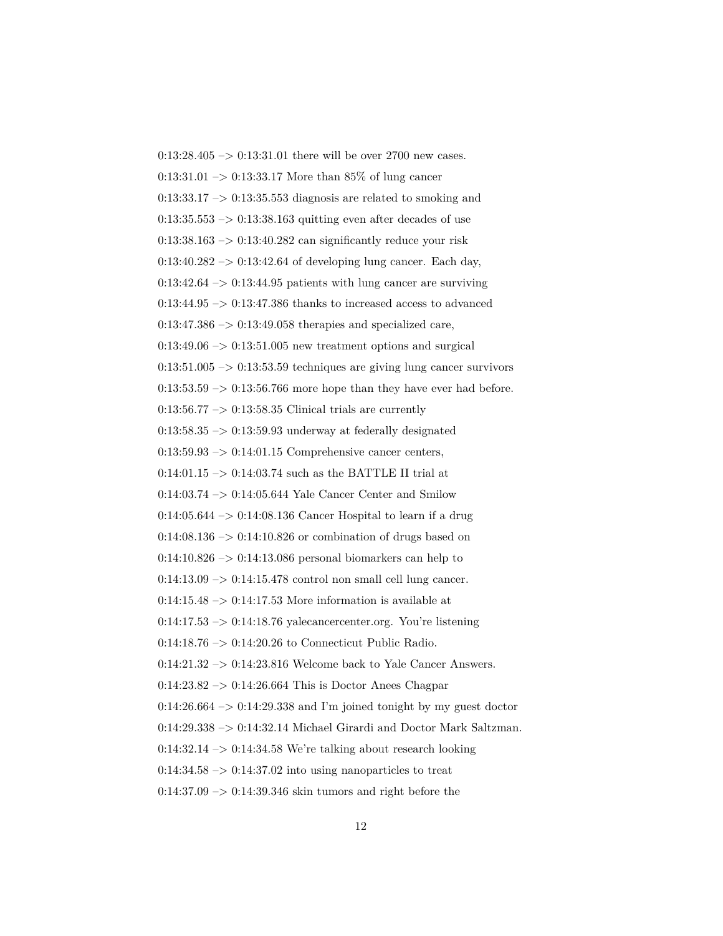0:13:28.405 –> 0:13:31.01 there will be over 2700 new cases.  $0:13:31.01 \rightarrow 0:13:33.17$  More than 85% of lung cancer  $0:13:33.17 \rightarrow 0:13:35.553$  diagnosis are related to smoking and  $0:13:35.553 \rightarrow 0:13:38.163$  quitting even after decades of use  $0:13:38.163 \rightarrow 0:13:40.282$  can significantly reduce your risk  $0:13:40.282 \rightarrow 0:13:42.64$  of developing lung cancer. Each day,  $0:13:42.64 \rightarrow 0:13:44.95$  patients with lung cancer are surviving 0:13:44.95  $\rightarrow$  0:13:47.386 thanks to increased access to advanced  $0:13:47.386 \rightarrow 0:13:49.058$  therapies and specialized care,  $0:13:49.06 \rightarrow 0:13:51.005$  new treatment options and surgical  $0:13:51.005 \rightarrow 0:13:53.59$  techniques are giving lung cancer survivors  $0:13:53.59 \rightarrow 0:13:56.766$  more hope than they have ever had before.  $0:13:56.77 \rightarrow 0:13:58.35$  Clinical trials are currently  $0:13:58.35 \rightarrow 0:13:59.93$  underway at federally designated  $0:13:59.93 \rightarrow 0:14:01.15$  Comprehensive cancer centers, 0:14:01.15  $\rightarrow$  0:14:03.74 such as the BATTLE II trial at 0:14:03.74 –> 0:14:05.644 Yale Cancer Center and Smilow  $0:14:05.644 \rightarrow 0:14:08.136$  Cancer Hospital to learn if a drug  $0:14:08.136 \rightarrow 0:14:10.826$  or combination of drugs based on  $0:14:10.826 \rightarrow 0:14:13.086$  personal biomarkers can help to  $0:14:13.09 \rightarrow 0:14:15.478$  control non small cell lung cancer.  $0:14:15.48 \rightarrow 0:14:17.53$  More information is available at  $0:14:17.53 \rightarrow 0:14:18.76$  yalecancercenter.org. You're listening 0:14:18.76 –> 0:14:20.26 to Connecticut Public Radio.  $0.14:21.32 \rightarrow 0.14:23.816$  Welcome back to Yale Cancer Answers.  $0:14:23.82 \rightarrow 0:14:26.664$  This is Doctor Anees Chagpar  $0:14:26.664 \rightarrow 0:14:29.338$  and I'm joined tonight by my guest doctor 0:14:29.338 –> 0:14:32.14 Michael Girardi and Doctor Mark Saltzman.  $0:14:32.14 \rightarrow 0:14:34.58$  We're talking about research looking  $0.14:34.58 \rightarrow 0.14:37.02$  into using nanoparticles to treat  $0.14:37.09 \rightarrow 0.14:39.346$  skin tumors and right before the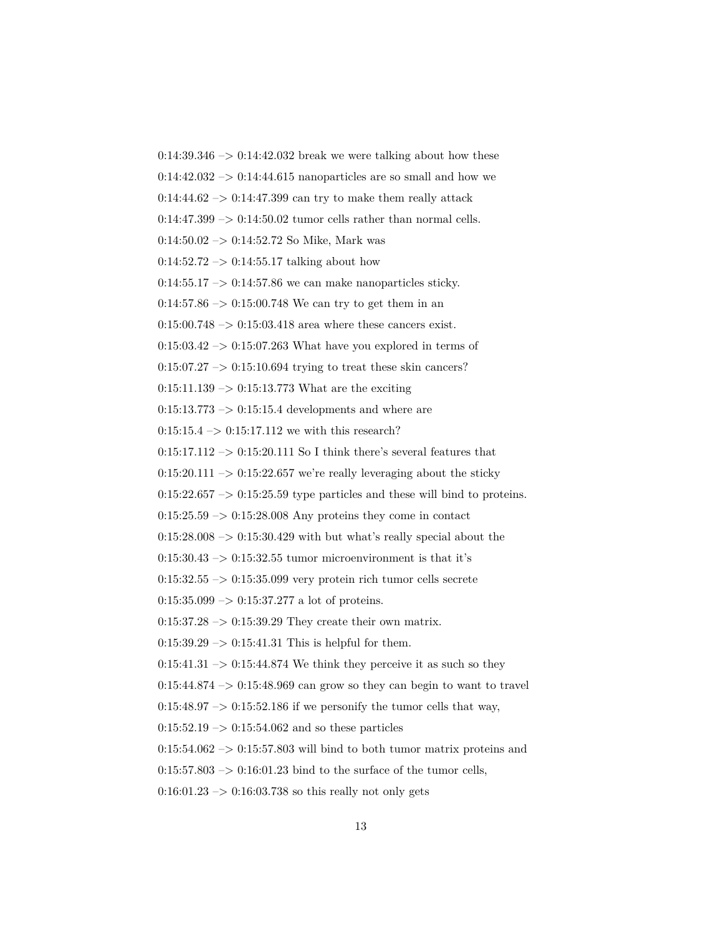$0:14:39.346 \rightarrow 0:14:42.032$  break we were talking about how these  $0:14:42.032 \rightarrow 0:14:44.615$  nanoparticles are so small and how we  $0:14:44.62 \rightarrow 0:14:47.399$  can try to make them really attack  $0:14:47.399 \rightarrow 0:14:50.02$  tumor cells rather than normal cells.  $0:14:50.02 \rightarrow 0:14:52.72$  So Mike, Mark was  $0:14:52.72 \rightarrow 0:14:55.17$  talking about how  $0:14:55.17 \rightarrow 0:14:57.86$  we can make nanoparticles sticky.  $0:14:57.86 \rightarrow 0:15:00.748$  We can try to get them in an  $0:15:00.748 \rightarrow 0:15:03.418$  area where these cancers exist.  $0.15:03.42 \rightarrow 0.15:07.263$  What have you explored in terms of  $0:15:07.27 \rightarrow 0:15:10.694$  trying to treat these skin cancers?  $0:15:11.139 \rightarrow 0:15:13.773$  What are the exciting  $0:15:13.773 \rightarrow 0:15:15.4$  developments and where are  $0:15:15.4 \rightarrow 0:15:17.112$  we with this research?  $0:15:17.112 \rightarrow 0:15:20.111$  So I think there's several features that  $0:15:20.111 \rightarrow 0:15:22.657$  we're really leveraging about the sticky  $0:15:22.657 \rightarrow 0:15:25.59$  type particles and these will bind to proteins.  $0:15:25.59 \rightarrow 0:15:28.008$  Any proteins they come in contact  $0:15:28.008 \rightarrow 0:15:30.429$  with but what's really special about the  $0:15:30.43 \rightarrow 0:15:32.55$  tumor microenvironment is that it's  $0:15:32.55 \rightarrow 0:15:35.099$  very protein rich tumor cells secrete  $0:15:35.099 \rightarrow 0:15:37.277$  a lot of proteins.  $0:15:37.28 \rightarrow 0:15:39.29$  They create their own matrix.  $0:15:39.29 \rightarrow 0:15:41.31$  This is helpful for them.  $0:15:41.31 \rightarrow 0:15:44.874$  We think they perceive it as such so they  $0:15:44.874 \rightarrow 0:15:48.969$  can grow so they can begin to want to travel  $0:15:48.97 \rightarrow 0:15:52.186$  if we personify the tumor cells that way,  $0:15:52.19 \rightarrow 0:15:54.062$  and so these particles  $0:15:54.062 \rightarrow 0:15:57.803$  will bind to both tumor matrix proteins and  $0:15:57.803 \rightarrow 0:16:01.23$  bind to the surface of the tumor cells,  $0:16:01.23 \rightarrow 0:16:03.738$  so this really not only gets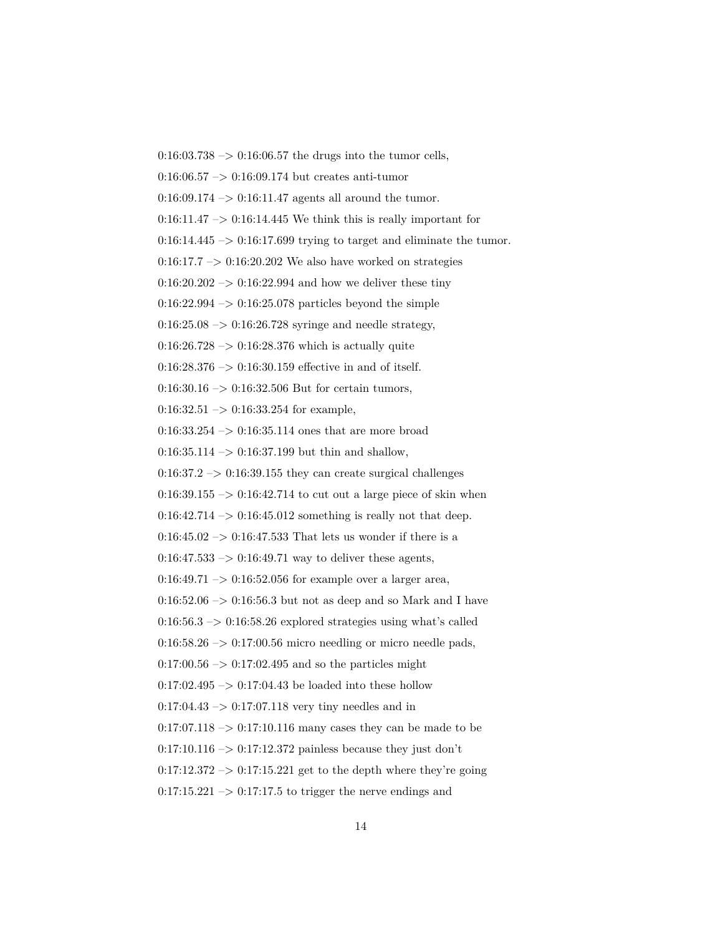$0:16:03.738 \rightarrow 0:16:06.57$  the drugs into the tumor cells, 0:16:06.57  $\rightarrow$  0:16:09.174 but creates anti-tumor  $0:16:09.174 \rightarrow 0:16:11.47$  agents all around the tumor.  $0:16:11.47 \rightarrow 0:16:14.445$  We think this is really important for  $0:16:14.445 \rightarrow 0:16:17.699$  trying to target and eliminate the tumor.  $0:16:17.7 \rightarrow 0:16:20.202$  We also have worked on strategies  $0:16:20.202 \rightarrow 0:16:22.994$  and how we deliver these tiny  $0:16:22.994 \rightarrow 0:16:25.078$  particles beyond the simple  $0:16:25.08 \rightarrow 0:16:26.728$  syringe and needle strategy,  $0:16:26.728 \rightarrow 0:16:28.376$  which is actually quite  $0:16:28.376 \rightarrow 0:16:30.159$  effective in and of itself.  $0:16:30.16 \rightarrow 0:16:32.506$  But for certain tumors,  $0:16:32.51 \rightarrow 0:16:33.254$  for example,  $0:16:33.254 \rightarrow 0:16:35.114$  ones that are more broad  $0:16:35.114 \rightarrow 0:16:37.199$  but thin and shallow,  $0.16:37.2 \rightarrow 0.16:39.155$  they can create surgical challenges  $0:16:39.155 \rightarrow 0:16:42.714$  to cut out a large piece of skin when  $0:16:42.714 \rightarrow 0:16:45.012$  something is really not that deep.  $0.16:45.02 \rightarrow 0.16:47.533$  That lets us wonder if there is a  $0:16:47.533 \rightarrow 0:16:49.71$  way to deliver these agents,  $0:16:49.71 \rightarrow 0:16:52.056$  for example over a larger area,  $0:16:52.06 \rightarrow 0:16:56.3$  but not as deep and so Mark and I have  $0:16:56.3 \rightarrow 0:16:58.26$  explored strategies using what's called  $0:16:58.26 \rightarrow 0:17:00.56$  micro needling or micro needle pads,  $0:17:00.56 \rightarrow 0:17:02.495$  and so the particles might  $0:17:02.495 \rightarrow 0:17:04.43$  be loaded into these hollow  $0.17:04.43 \rightarrow 0.17:07.118$  very tiny needles and in  $0:17:07.118 \rightarrow 0:17:10.116$  many cases they can be made to be  $0:17:10.116 \rightarrow 0:17:12.372$  painless because they just don't  $0:17:12.372 \rightarrow 0:17:15.221$  get to the depth where they're going  $0:17:15.221 \rightarrow 0:17:17.5$  to trigger the nerve endings and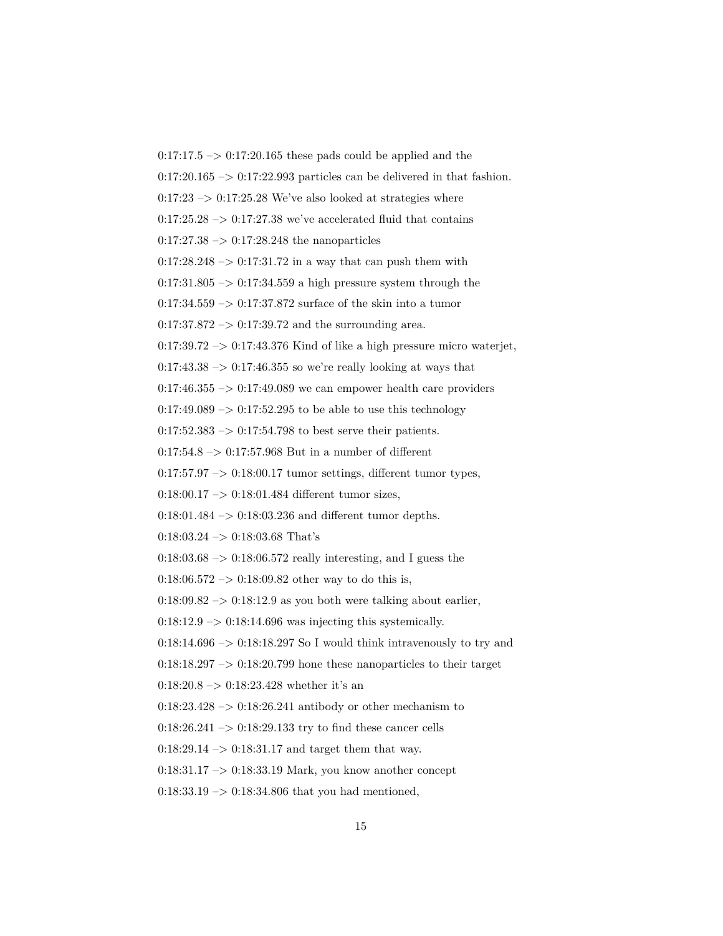$0:17:17.5 \rightarrow 0:17:20.165$  these pads could be applied and the  $0:17:20.165 \rightarrow 0:17:22.993$  particles can be delivered in that fashion.  $0:17:23 \rightarrow 0:17:25.28$  We've also looked at strategies where  $0:17:25.28 \rightarrow 0:17:27.38$  we've accelerated fluid that contains  $0:17:27.38 \rightarrow 0:17:28.248$  the nanoparticles  $0:17:28.248 \rightarrow 0:17:31.72$  in a way that can push them with  $0:17:31.805 \rightarrow 0:17:34.559$  a high pressure system through the 0:17:34.559  $\rightarrow$  0:17:37.872 surface of the skin into a tumor  $0:17:37.872 \rightarrow 0:17:39.72$  and the surrounding area.  $0:17:39.72 \rightarrow 0:17:43.376$  Kind of like a high pressure micro waterjet,  $0:17:43.38 \rightarrow 0:17:46.355$  so we're really looking at ways that  $0:17:46.355 \rightarrow 0:17:49.089$  we can empower health care providers  $0:17:49.089 \rightarrow 0:17:52.295$  to be able to use this technology  $0:17:52.383 \rightarrow 0:17:54.798$  to best serve their patients.  $0:17:54.8 \rightarrow 0:17:57.968$  But in a number of different  $0:17:57.97 \rightarrow 0:18:00.17$  tumor settings, different tumor types,  $0:18:00.17 \rightarrow 0:18:01.484$  different tumor sizes,  $0:18:01.484 \rightarrow 0:18:03.236$  and different tumor depths.  $0:18:03.24 \rightarrow 0:18:03.68$  That's  $0:18:03.68 \rightarrow 0:18:06.572$  really interesting, and I guess the  $0:18:06.572 \rightarrow 0:18:09.82$  other way to do this is,  $0:18:09.82 \rightarrow 0:18:12.9$  as you both were talking about earlier,  $0:18:12.9 \rightarrow 0:18:14.696$  was injecting this systemically.  $0:18:14.696 \rightarrow 0:18:18.297$  So I would think intravenously to try and  $0.18:18.297 \rightarrow 0.18:20.799$  hone these nanoparticles to their target  $0:18:20.8 \rightarrow 0:18:23.428$  whether it's an  $0:18:23.428 \rightarrow 0:18:26.241$  antibody or other mechanism to 0:18:26.241  $\rightarrow$  0:18:29.133 try to find these cancer cells  $0:18:29.14 \rightarrow 0:18:31.17$  and target them that way.

 $0.18:31.17 \rightarrow 0.18:33.19$  Mark, you know another concept

 $0:18:33.19 \rightarrow 0:18:34.806$  that you had mentioned,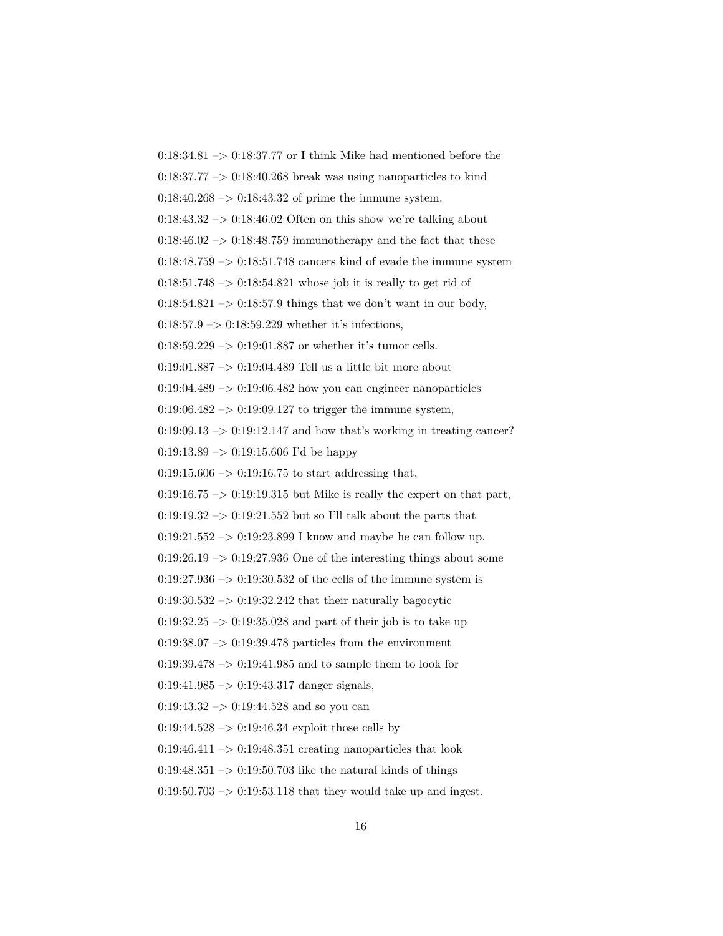0:18:34.81  $\rightarrow$  0:18:37.77 or I think Mike had mentioned before the  $0.18:37.77 \rightarrow 0.18:40.268$  break was using nanoparticles to kind  $0:18:40.268 \rightarrow 0:18:43.32$  of prime the immune system.  $0:18:43.32 \rightarrow 0:18:46.02$  Often on this show we're talking about  $0:18:46.02 \rightarrow 0:18:48.759$  immunotherapy and the fact that these  $0:18:48.759 \rightarrow 0:18:51.748$  cancers kind of evade the immune system 0:18:51.748  $\rightarrow$  0:18:54.821 whose job it is really to get rid of  $0:18:54.821 \rightarrow 0:18:57.9$  things that we don't want in our body,  $0:18:57.9 \rightarrow 0:18:59.229$  whether it's infections,  $0.18:59.229 \rightarrow 0.19:01.887$  or whether it's tumor cells. 0:19:01.887 –> 0:19:04.489 Tell us a little bit more about  $0:19:04.489 \rightarrow 0:19:06.482$  how you can engineer nanoparticles  $0:19:06.482 \rightarrow 0:19:09.127$  to trigger the immune system,  $0:19:09.13 \rightarrow 0:19:12.147$  and how that's working in treating cancer?  $0:19:13.89 \rightarrow 0:19:15.606$  I'd be happy  $0:19:15.606 \rightarrow 0:19:16.75$  to start addressing that,  $0:19:16.75 \rightarrow 0:19:19.315$  but Mike is really the expert on that part,  $0:19:19.32 \rightarrow 0:19:21.552$  but so I'll talk about the parts that 0:19:21.552  $\rightarrow$  0:19:23.899 I know and maybe he can follow up.  $0:19:26.19 \rightarrow 0:19:27.936$  One of the interesting things about some  $0:19:27.936 \rightarrow 0:19:30.532$  of the cells of the immune system is  $0.19:30.532 \rightarrow 0.19:32.242$  that their naturally bagocytic  $0.19:32.25 \rightarrow 0.19:35.028$  and part of their job is to take up  $0:19:38.07 \rightarrow 0:19:39.478$  particles from the environment  $0.19:39.478 \rightarrow 0.19:41.985$  and to sample them to look for  $0:19:41.985 \rightarrow 0:19:43.317$  danger signals,  $0:19:43.32 \rightarrow 0:19:44.528$  and so you can  $0:19:44.528 \rightarrow 0:19:46.34$  exploit those cells by  $0.19:46.411 \rightarrow 0.19:48.351$  creating nanoparticles that look  $0.19:48.351 \rightarrow 0.19:50.703$  like the natural kinds of things  $0:19:50.703 \rightarrow 0:19:53.118$  that they would take up and ingest.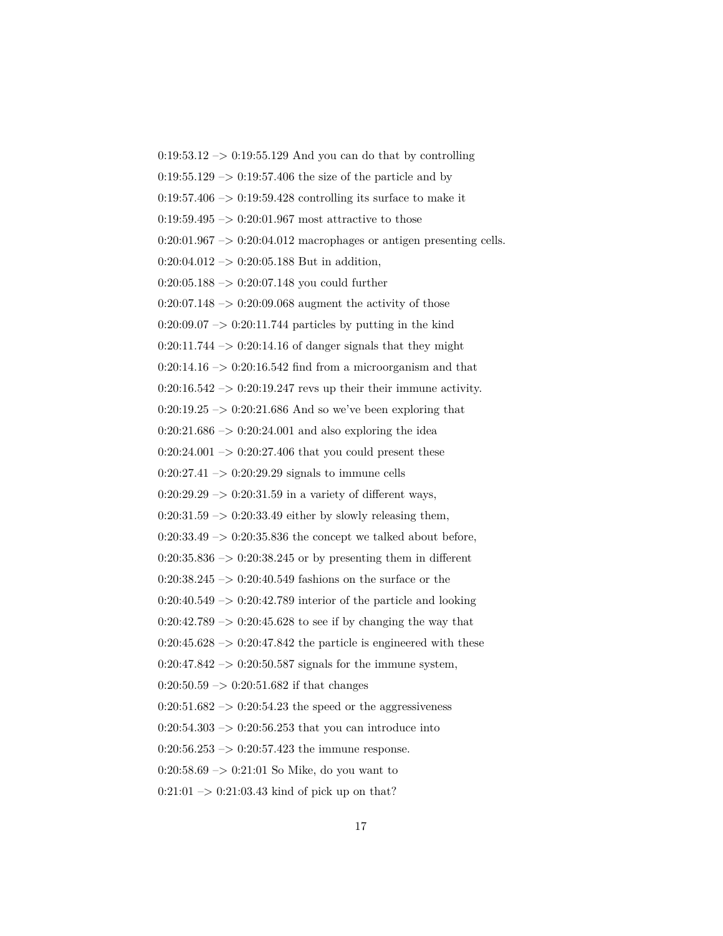$0:19:53.12 \rightarrow 0:19:55.129$  And you can do that by controlling  $0.19:55.129 \rightarrow 0.19:57.406$  the size of the particle and by  $0:19:57.406 \rightarrow 0:19:59.428$  controlling its surface to make it  $0.19:59.495 \rightarrow 0.20:01.967$  most attractive to those  $0:20:01.967 \rightarrow 0:20:04.012$  macrophages or antigen presenting cells.  $0:20:04.012 \rightarrow 0:20:05.188$  But in addition,  $0:20:05.188 \rightarrow 0:20:07.148$  you could further  $0:20:07.148 \rightarrow 0:20:09.068$  augment the activity of those  $0:20:09.07 \rightarrow 0:20:11.744$  particles by putting in the kind  $0:20:11.744 \rightarrow 0:20:14.16$  of danger signals that they might  $0:20:14.16 \rightarrow 0:20:16.542$  find from a microorganism and that  $0:20:16.542 \rightarrow 0:20:19.247$  revs up their their immune activity.  $0:20:19.25 \rightarrow 0:20:21.686$  And so we've been exploring that  $0:20:21.686 \rightarrow 0:20:24.001$  and also exploring the idea  $0:20:24.001 \rightarrow 0:20:27.406$  that you could present these  $0:20:27.41 \rightarrow 0:20:29.29$  signals to immune cells  $0:20:29.29 \rightarrow 0:20:31.59$  in a variety of different ways,  $0:20:31.59 \rightarrow 0:20:33.49$  either by slowly releasing them,  $0:20:33.49 \rightarrow 0:20:35.836$  the concept we talked about before,  $0:20:35.836 \rightarrow 0:20:38.245$  or by presenting them in different 0:20:38.245 –> 0:20:40.549 fashions on the surface or the  $0:20:40.549 \rightarrow 0:20:42.789$  interior of the particle and looking  $0:20:42.789 \rightarrow 0:20:45.628$  to see if by changing the way that  $0:20:45.628 \rightarrow 0:20:47.842$  the particle is engineered with these  $0:20:47.842 \rightarrow 0:20:50.587$  signals for the immune system,  $0:20:50.59 \rightarrow 0:20:51.682$  if that changes  $0:20:51.682 \rightarrow 0:20:54.23$  the speed or the aggressiveness  $0:20:54.303 \rightarrow 0:20:56.253$  that you can introduce into  $0:20:56.253 \rightarrow 0:20:57.423$  the immune response.  $0:20:58.69 \rightarrow 0:21:01$  So Mike, do you want to  $0:21:01 \rightarrow 0:21:03.43$  kind of pick up on that?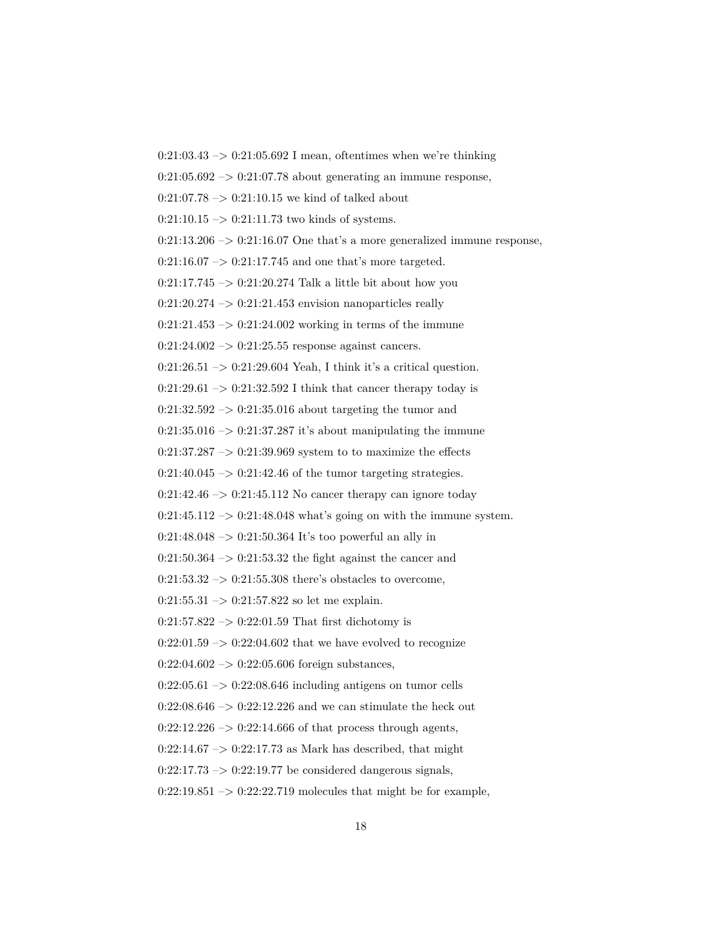$0:21:03.43 \rightarrow 0:21:05.692$  I mean, oftentimes when we're thinking  $0:21:05.692 \rightarrow 0:21:07.78$  about generating an immune response,  $0:21:07.78 \rightarrow 0:21:10.15$  we kind of talked about  $0:21:10.15 \rightarrow 0:21:11.73$  two kinds of systems.  $0:21:13.206 \rightarrow 0:21:16.07$  One that's a more generalized immune response,  $0:21:16.07 \rightarrow 0:21:17.745$  and one that's more targeted.  $0:21:17.745 \rightarrow 0:21:20.274$  Talk a little bit about how you  $0:21:20.274 \rightarrow 0:21:21.453$  envision nanoparticles really  $0:21:21.453 \rightarrow 0:21:24.002$  working in terms of the immune  $0:21:24.002 \rightarrow 0:21:25.55$  response against cancers.  $0:21:26.51 \rightarrow 0:21:29.604$  Yeah, I think it's a critical question.  $0:21:29.61 \rightarrow 0:21:32.592$  I think that cancer therapy today is  $0:21:32.592 \rightarrow 0:21:35.016$  about targeting the tumor and  $0:21:35.016 \rightarrow 0:21:37.287$  it's about manipulating the immune  $0:21:37.287 \rightarrow 0:21:39.969$  system to to maximize the effects  $0:21:40.045 \rightarrow 0:21:42.46$  of the tumor targeting strategies.  $0:21:42.46 \rightarrow 0:21:45.112$  No cancer therapy can ignore today  $0:21:45.112 \rightarrow 0:21:48.048$  what's going on with the immune system.  $0:21:48.048 \rightarrow 0:21:50.364$  It's too powerful an ally in  $0:21:50.364 \rightarrow 0:21:53.32$  the fight against the cancer and  $0:21:53.32 \rightarrow 0:21:55.308$  there's obstacles to overcome,  $0:21:55.31 \rightarrow 0:21:57.822$  so let me explain.  $0.21{:}57.822\rightarrow 0.22{:}01.59$  That first dichotomy is  $0:22:01.59 \rightarrow 0:22:04.602$  that we have evolved to recognize  $0:22:04.602 \rightarrow 0:22:05.606$  foreign substances,  $0:22:05.61 \rightarrow 0:22:08.646$  including antigens on tumor cells  $0:22:08.646 \rightarrow 0:22:12.226$  and we can stimulate the heck out  $0:22:12.226 \rightarrow 0:22:14.666$  of that process through agents,  $0:22:14.67 \rightarrow 0:22:17.73$  as Mark has described, that might  $0:22:17.73 \rightarrow 0:22:19.77$  be considered dangerous signals,  $0:22:19.851 \rightarrow 0:22:22.719$  molecules that might be for example,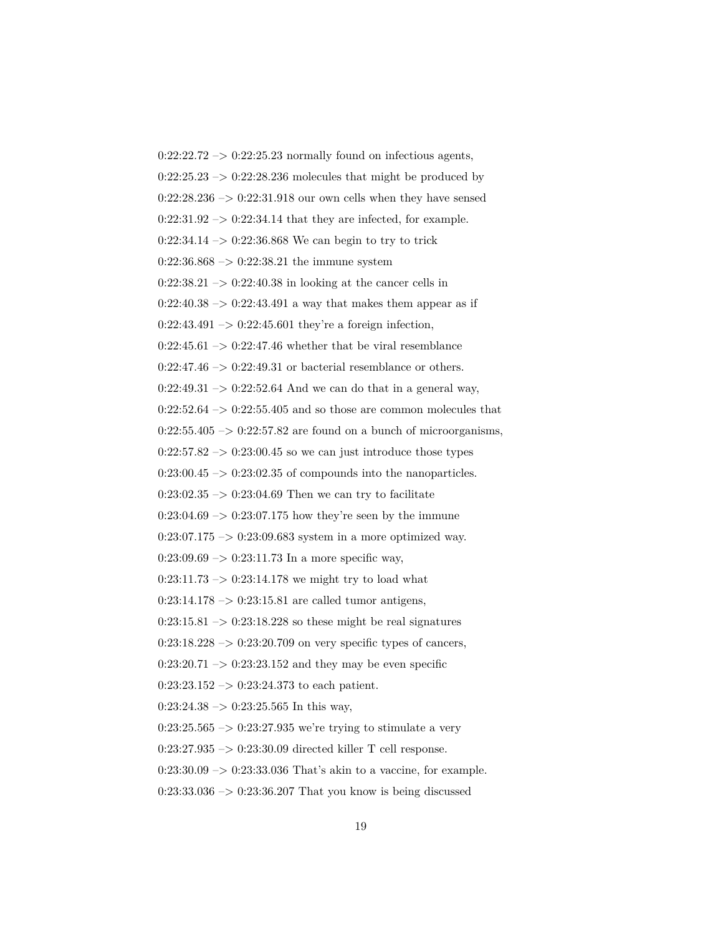$0:22:22.72 \rightarrow 0:22:25.23$  normally found on infectious agents,  $0:22:25.23 \rightarrow 0:22:28.236$  molecules that might be produced by  $0:22:28.236 \rightarrow 0:22:31.918$  our own cells when they have sensed  $0:22:31.92 \rightarrow 0:22:34.14$  that they are infected, for example.  $0:22:34.14 \rightarrow 0:22:36.868$  We can begin to try to trick  $0:22:36.868 \rightarrow 0:22:38.21$  the immune system  $0:22:38.21 \rightarrow 0:22:40.38$  in looking at the cancer cells in  $0:22:40.38 \rightarrow 0:22:43.491$  a way that makes them appear as if  $0:22:43.491 \rightarrow 0:22:45.601$  they're a foreign infection,  $0:22:45.61 \rightarrow 0:22:47.46$  whether that be viral resemblance  $0:22:47.46 \rightarrow 0:22:49.31$  or bacterial resemblance or others.  $0:22:49.31 \rightarrow 0:22:52.64$  And we can do that in a general way,  $0:22:52.64\ensuremath{\rightarrow} 0:22:55.405$  and so those are common molecules that  $0:22:55.405 \rightarrow 0:22:57.82$  are found on a bunch of microorganisms,  $0:22:57.82 \rightarrow 0:23:00.45$  so we can just introduce those types  $0:23:00.45 \rightarrow 0:23:02.35$  of compounds into the nanoparticles.  $0:23:02.35 \rightarrow 0:23:04.69$  Then we can try to facilitate  $0:23:04.69 \rightarrow 0:23:07.175$  how they're seen by the immune  $0:23:07.175 \rightarrow 0:23:09.683$  system in a more optimized way.  $0:23:09.69 \rightarrow 0:23:11.73$  In a more specific way,  $0:23:11.73 \rightarrow 0:23:14.178$  we might try to load what  $0:23:14.178 \rightarrow 0:23:15.81$  are called tumor antigens,  $0:23:15.81 \rightarrow 0:23:18.228$  so these might be real signatures  $0:23:18.228 \rightarrow 0:23:20.709$  on very specific types of cancers,  $0:23:20.71 \rightarrow 0:23:23.152$  and they may be even specific  $0:23:23.152 \rightarrow 0:23:24.373$  to each patient.  $0:23:24.38 \rightarrow 0:23:25.565$  In this way,  $0:23:25.565 \rightarrow 0:23:27.935$  we're trying to stimulate a very 0:23:27.935 –> 0:23:30.09 directed killer T cell response.  $0:23:30.09 \rightarrow 0:23:33.036$  That's akin to a vaccine, for example.  $0:23:33.036 \rightarrow 0:23:36.207$  That you know is being discussed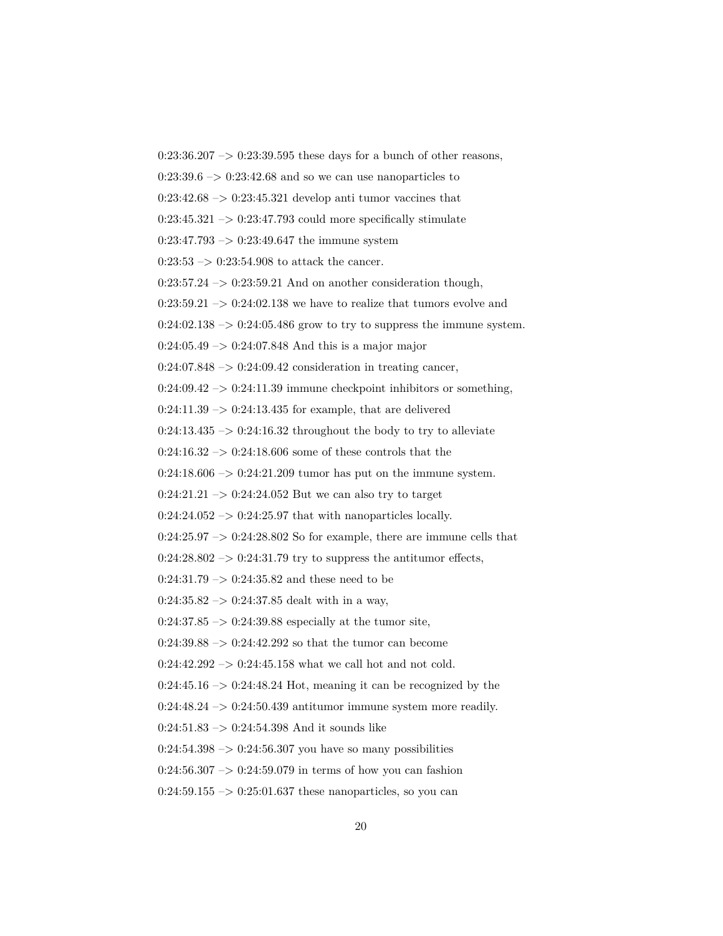$0:23:36.207 \rightarrow 0:23:39.595$  these days for a bunch of other reasons,  $0:23:39.6 \rightarrow 0:23:42.68$  and so we can use nanoparticles to  $0:23:42.68 \rightarrow 0:23:45.321$  develop anti tumor vaccines that  $0:23:45.321 \rightarrow 0:23:47.793$  could more specifically stimulate  $0:23:47.793 \rightarrow 0:23:49.647$  the immune system  $0:23:53 \rightarrow 0:23:54.908$  to attack the cancer.  $0:23:57.24 \rightarrow 0:23:59.21$  And on another consideration though,  $0:23:59.21 \rightarrow 0:24:02.138$  we have to realize that tumors evolve and  $0:24:02.138 \rightarrow 0:24:05.486$  grow to try to suppress the immune system.  $0:24:05.49 \rightarrow 0:24:07.848$  And this is a major major  $0:24:07.848 \rightarrow 0:24:09.42$  consideration in treating cancer,  $0:24:09.42 \rightarrow 0:24:11.39$  immune checkpoint inhibitors or something,  $0:24:11.39 \rightarrow 0:24:13.435$  for example, that are delivered  $0:24:13.435 \rightarrow 0:24:16.32$  throughout the body to try to alleviate  $0:24:16.32 \rightarrow 0:24:18.606$  some of these controls that the  $0:24:18.606 \rightarrow 0:24:21.209$  tumor has put on the immune system.  $0:24:21.21 \rightarrow 0:24:24.052$  But we can also try to target  $0:24:24.052 \rightarrow 0:24:25.97$  that with nanoparticles locally.  $0:24:25.97 \rightarrow 0:24:28.802$  So for example, there are immune cells that  $0:24:28.802 \rightarrow 0:24:31.79$  try to suppress the antitumor effects,  $0:24:31.79 \rightarrow 0:24:35.82$  and these need to be  $0:24:35.82 \rightarrow 0:24:37.85$  dealt with in a way,  $0:24:37.85 \rightarrow 0:24:39.88$  especially at the tumor site,  $0:24:39.88 \rightarrow 0:24:42.292$  so that the tumor can become  $0:24:42.292 \rightarrow 0:24:45.158$  what we call hot and not cold.  $0:24:45.16 \rightarrow 0:24:48.24$  Hot, meaning it can be recognized by the  $0:24:48.24 \rightarrow 0:24:50.439$  antitumor immune system more readily.  $0:24:51.83 \rightarrow 0:24:54.398$  And it sounds like  $0:24:54.398 \rightarrow 0:24:56.307$  you have so many possibilities  $0:24:56.307 \rightarrow 0:24:59.079$  in terms of how you can fashion  $0:24:59.155 \rightarrow 0:25:01.637$  these nanoparticles, so you can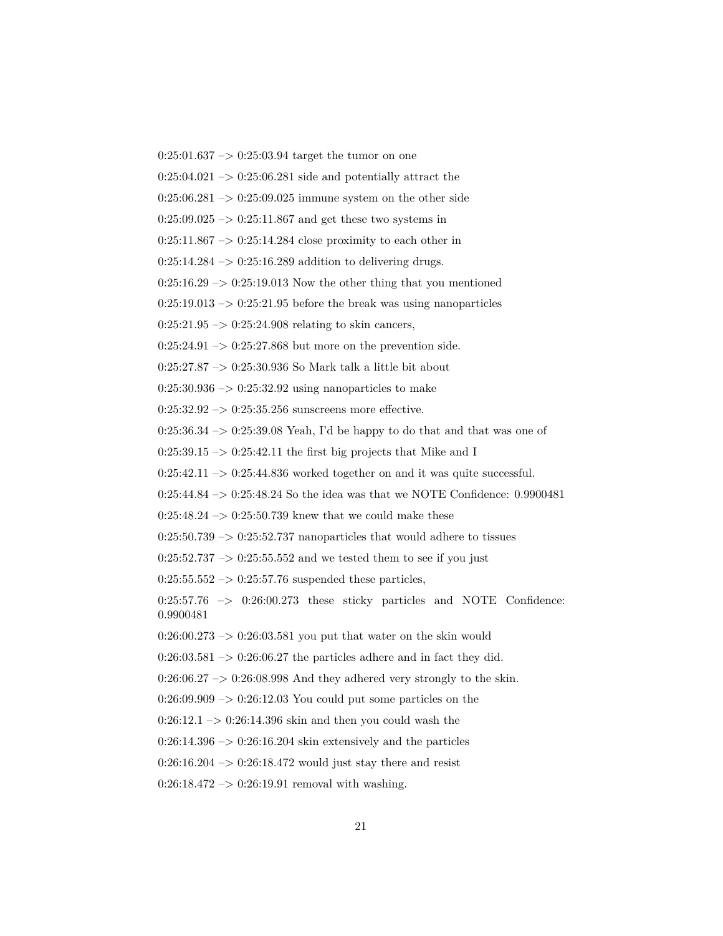0:25:01.637 –> 0:25:03.94 target the tumor on one  $0:25:04.021 \rightarrow 0:25:06.281$  side and potentially attract the  $0:25:06.281 \rightarrow 0:25:09.025$  immune system on the other side  $0:25:09.025 \rightarrow 0:25:11.867$  and get these two systems in  $0:25:11.867 \rightarrow 0:25:14.284$  close proximity to each other in  $0:25:14.284 \rightarrow 0:25:16.289$  addition to delivering drugs.  $0:25:16.29 \rightarrow 0:25:19.013$  Now the other thing that you mentioned  $0:25:19.013 \rightarrow 0:25:21.95$  before the break was using nanoparticles  $0:25:21.95 \rightarrow 0:25:24.908$  relating to skin cancers,  $0:25:24.91 \rightarrow 0:25:27.868$  but more on the prevention side. 0:25:27.87 –> 0:25:30.936 So Mark talk a little bit about  $0:25:30.936 \rightarrow 0:25:32.92$  using nanoparticles to make 0:25:32.92  $\rightarrow$  0:25:35.256 sunscreens more effective.  $0:25:36.34 \rightarrow 0:25:39.08$  Yeah, I'd be happy to do that and that was one of  $0:25:39.15 \rightarrow 0:25:42.11$  the first big projects that Mike and I  $0:25:42.11 \rightarrow 0:25:44.836$  worked together on and it was quite successful. 0:25:44.84 –> 0:25:48.24 So the idea was that we NOTE Confidence: 0.9900481 0:25:48.24  $\rightarrow$  0:25:50.739 knew that we could make these  $0:25:50.739 \rightarrow 0:25:52.737$  nanoparticles that would adhere to tissues  $0:25:52.737 \rightarrow 0:25:55.552$  and we tested them to see if you just  $0:25:55.552 \rightarrow 0:25:57.76$  suspended these particles,  $0:25:57.76$   $\rightarrow$   $0:26:00.273$  these sticky particles and NOTE Confidence: 0.9900481  $0:26:00.273 \rightarrow 0:26:03.581$  you put that water on the skin would  $0:26:03.581 \rightarrow 0:26:06.27$  the particles adhere and in fact they did.  $0:26:06.27 \rightarrow 0:26:08.998$  And they adhered very strongly to the skin.  $0:26:09.909 \rightarrow 0:26:12.03$  You could put some particles on the  $0:26:12.1 \rightarrow 0:26:14.396$  skin and then you could wash the  $0:26:14.396 \rightarrow 0:26:16.204$  skin extensively and the particles  $0:26:16.204 \rightarrow 0:26:18.472$  would just stay there and resist  $0:26:18.472 \rightarrow 0:26:19.91$  removal with washing.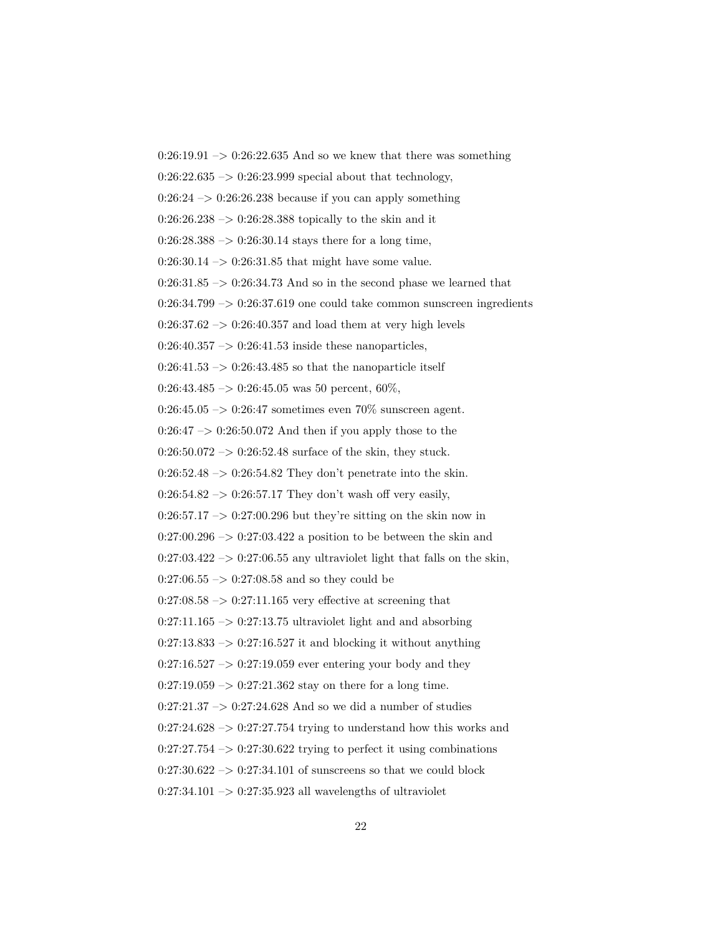$0:26:19.91 \rightarrow 0:26:22.635$  And so we knew that there was something  $0:26:22.635 \rightarrow 0:26:23.999$  special about that technology,  $0:26:24 \rightarrow 0:26:26.238$  because if you can apply something  $0:26:26.238 \rightarrow 0:26:28.388$  topically to the skin and it  $0:26:28.388 \rightarrow 0:26:30.14$  stays there for a long time,  $0:26:30.14 \rightarrow 0:26:31.85$  that might have some value.  $0:26:31.85 \rightarrow 0:26:34.73$  And so in the second phase we learned that  $0:26:34.799 \rightarrow 0:26:37.619$  one could take common sunscreen ingredients  $0:26:37.62 \rightarrow 0:26:40.357$  and load them at very high levels  $0:26:40.357 \rightarrow 0:26:41.53$  inside these nanoparticles,  $0:26:41.53 \rightarrow 0:26:43.485$  so that the nanoparticle itself 0:26:43.485 –> 0:26:45.05 was 50 percent, 60%,  $0:26:45.05 \rightarrow 0:26:47$  sometimes even 70% sunscreen agent.  $0:26:47 \rightarrow 0:26:50.072$  And then if you apply those to the  $0:26:50.072 \rightarrow 0:26:52.48$  surface of the skin, they stuck.  $0:26:52.48 \rightarrow 0:26:54.82$  They don't penetrate into the skin.  $0:26:54.82 \rightarrow 0:26:57.17$  They don't wash off very easily,  $0:26:57.17 \rightarrow 0:27:00.296$  but they're sitting on the skin now in  $0:27:00.296 \rightarrow 0:27:03.422$  a position to be between the skin and  $0:27:03.422 \rightarrow 0:27:06.55$  any ultraviolet light that falls on the skin,  $0:27:06.55 \rightarrow 0:27:08.58$  and so they could be  $0:27:08.58 \rightarrow 0:27:11.165$  very effective at screening that  $0:27:11.165 \rightarrow 0:27:13.75$  ultraviolet light and and absorbing  $0:27:13.833 \rightarrow 0:27:16.527$  it and blocking it without anything  $0:27:16.527 \rightarrow 0:27:19.059$  ever entering your body and they  $0:27:19.059 \rightarrow 0:27:21.362$  stay on there for a long time.  $0:27:21.37 \rightarrow 0:27:24.628$  And so we did a number of studies  $0:27:24.628 \rightarrow 0:27:27.754$  trying to understand how this works and  $0:27:27.754 \rightarrow 0:27:30.622$  trying to perfect it using combinations  $0:27:30.622 \rightarrow 0:27:34.101$  of sunscreens so that we could block  $0:27:34.101 \rightarrow 0:27:35.923$  all wavelengths of ultraviolet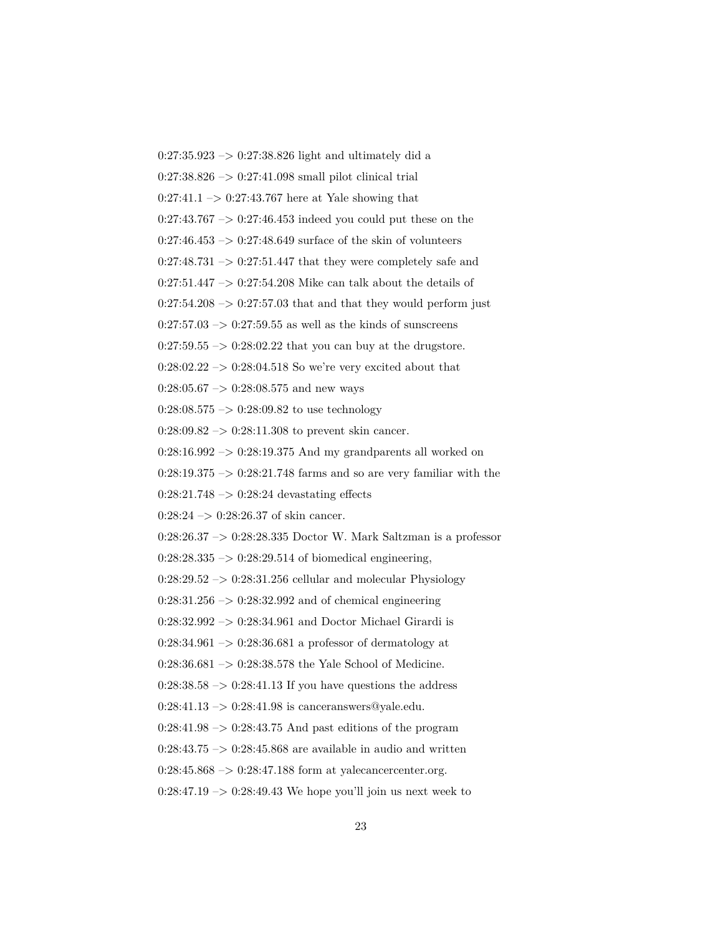0:27:35.923 –> 0:27:38.826 light and ultimately did a 0:27:38.826 –> 0:27:41.098 small pilot clinical trial  $0:27:41.1 \rightarrow 0:27:43.767$  here at Yale showing that  $0:27:43.767 \rightarrow 0:27:46.453$  indeed you could put these on the  $0:27:46.453 \rightarrow 0:27:48.649$  surface of the skin of volunteers  $0:27:48.731 \rightarrow 0:27:51.447$  that they were completely safe and  $0:27:51.447 \rightarrow 0:27:54.208$  Mike can talk about the details of  $0:27:54.208 \rightarrow 0:27:57.03$  that and that they would perform just  $0:27:57.03 \rightarrow 0:27:59.55$  as well as the kinds of sunscreens  $0:27:59.55 \rightarrow 0:28:02.22$  that you can buy at the drugstore.  $0:28:02.22 \rightarrow 0:28:04.518$  So we're very excited about that  $0:28:05.67 \rightarrow 0:28:08.575$  and new ways  $0:28:08.575 \rightarrow 0:28:09.82$  to use technology  $0:28:09.82 \rightarrow 0:28:11.308$  to prevent skin cancer.  $0:28:16.992 \rightarrow 0:28:19.375$  And my grandparents all worked on  $0:28:19.375 \rightarrow 0:28:21.748$  farms and so are very familiar with the  $0:28:21.748 \rightarrow 0:28:24$  devastating effects  $0:28:24 \rightarrow 0:28:26.37$  of skin cancer. 0:28:26.37 –> 0:28:28.335 Doctor W. Mark Saltzman is a professor  $0:28:28.335 \rightarrow 0:28:29.514$  of biomedical engineering,  $0:28:29.52 \rightarrow 0:28:31.256$  cellular and molecular Physiology  $0:28:31.256 \rightarrow 0:28:32.992$  and of chemical engineering 0:28:32.992 –> 0:28:34.961 and Doctor Michael Girardi is  $0:28:34.961 \rightarrow 0:28:36.681$  a professor of dermatology at  $0:28:36.681\ensuremath{\:\rightarrow\:}0:28:38.578$  the Yale School of Medicine.  $0:28:38.58 \rightarrow 0:28:41.13$  If you have questions the address  $0:28:41.13 \rightarrow 0:28:41.98$  is canceranswers@yale.edu.  $0:28:41.98 \rightarrow 0:28:43.75$  And past editions of the program  $0:28:43.75 \rightarrow 0:28:45.868$  are available in audio and written  $0:28:45.868 \rightarrow 0:28:47.188$  form at yalecancercenter.org.  $0:28:47.19 \rightarrow 0:28:49.43$  We hope you'll join us next week to